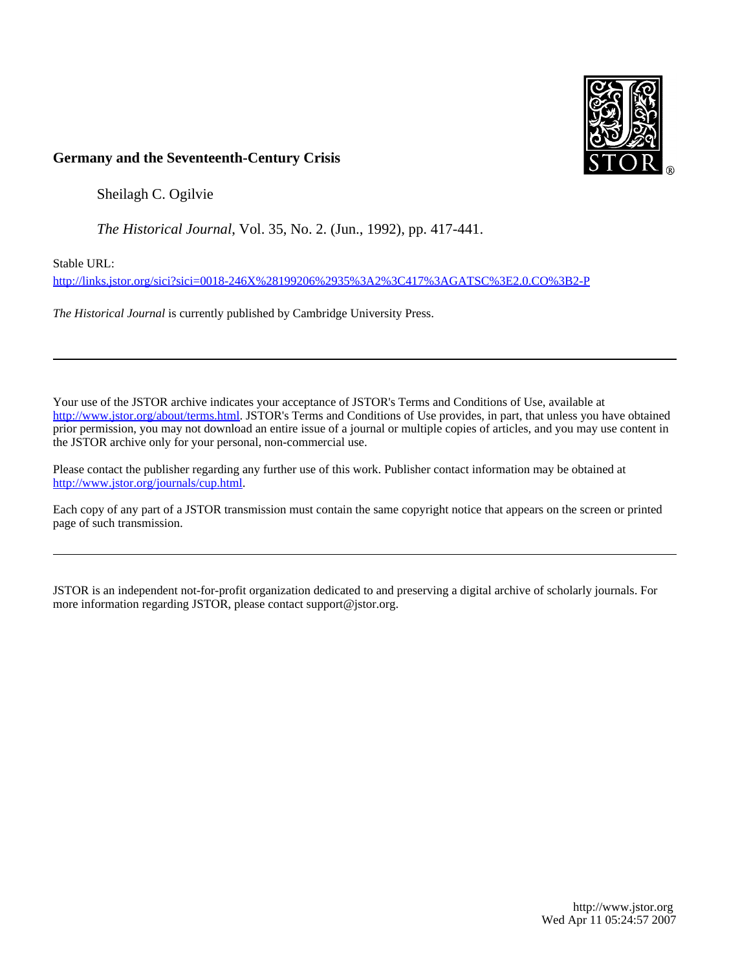

# **Germany and the Seventeenth-Century Crisis**

Sheilagh C. Ogilvie

*The Historical Journal*, Vol. 35, No. 2. (Jun., 1992), pp. 417-441.

Stable URL:

<http://links.jstor.org/sici?sici=0018-246X%28199206%2935%3A2%3C417%3AGATSC%3E2.0.CO%3B2-P>

*The Historical Journal* is currently published by Cambridge University Press.

Your use of the JSTOR archive indicates your acceptance of JSTOR's Terms and Conditions of Use, available at [http://www.jstor.org/about/terms.html.](http://www.jstor.org/about/terms.html) JSTOR's Terms and Conditions of Use provides, in part, that unless you have obtained prior permission, you may not download an entire issue of a journal or multiple copies of articles, and you may use content in the JSTOR archive only for your personal, non-commercial use.

Please contact the publisher regarding any further use of this work. Publisher contact information may be obtained at [http://www.jstor.org/journals/cup.html.](http://www.jstor.org/journals/cup.html)

Each copy of any part of a JSTOR transmission must contain the same copyright notice that appears on the screen or printed page of such transmission.

JSTOR is an independent not-for-profit organization dedicated to and preserving a digital archive of scholarly journals. For more information regarding JSTOR, please contact support@jstor.org.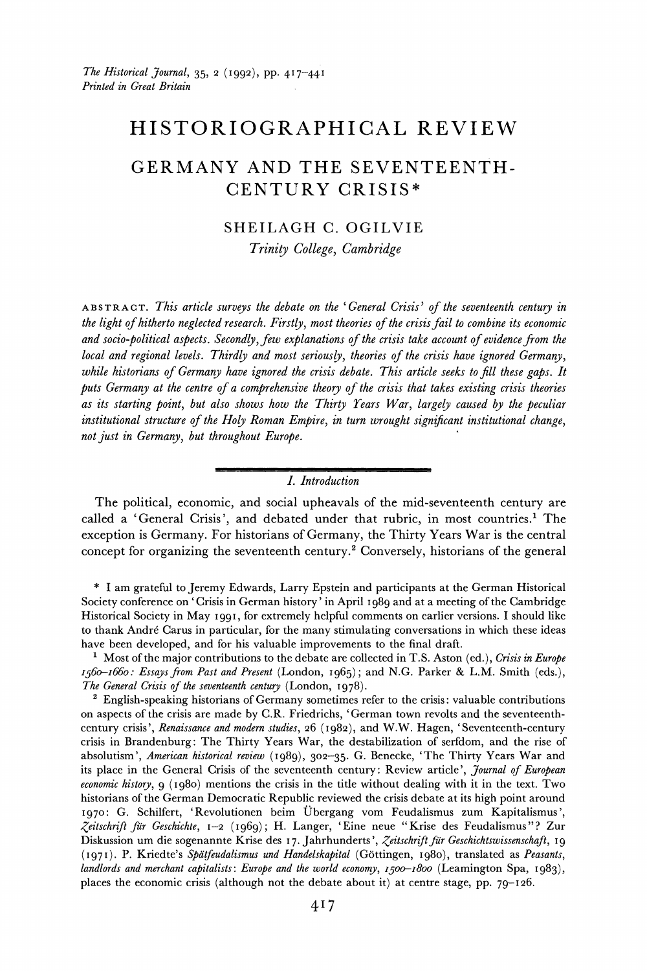## HISTORIOGRAPHICAL REVIEW

## GERMANY AND THE SEVENTEENTH- CENTURY CRISIS\*

## SHEILAGH C. OGILVIE

*Trinio College, Cambridge* 

ABSTRACT.*This article surveys the debate on the 'General Crisis' of the seventeenth century in the light of hitherto neglected research. Firstly, most theories of the crisis fail to combine its economic and socio-political aspects. Secondly, few explanations of the crisis take account of evidence from the local and regional levels. Thirdly and most seriously, theories of the crisis have ignored Germany, while historians of Germany have ignored the crisis debate. This article seeks tojill these gaps. It puts Germany at the centre of a comprehensive theory of the crisis that takes existing crisis theories as its starting point, but also shows how the Thirhirty Years War, largely caused* **by** *the peculiar institutional structure of the Holy Roman Empire, in turn wrought significant institutional change, not just in Germany, but throughout Europe.* 

### *I. Introduction*

The political, economic, and social upheavals of the mid-seventeenth century are called a 'General Crisis', and debated under that rubric, in most countries.' The exception is Germany. For historians of Germany, the Thirty Years War is the central concept for organizing the seventeenth century.<sup>2</sup> Conversely, historians of the general

\* I am grateful to Jeremy Edwards, Larry Epstein and participants at the German Historical Society conference on 'Crisis in German history' in April 1989 and at a meeting of the Cambridge Historical Society in May 1991, for extremely helpful comments on earlier versions. I should like to thank Andre Carus in particular, for the many stimulating conversations in which these ideas have been developed, and for his valuable improvements to the final draft.

Most of the major contributions to the debate are collected in T.S. Aston (ed.), *Crisis in Europe 1560-1660: Essays from Past and Present* (London, 1965); and N.G. Parker & L.M. Smith (eds.), *The General Crisis of the seventeenth century* (London, 1978).

 $2$  English-speaking historians of Germany sometimes refer to the crisis: valuable contributions on aspects of the crisis are made by C.R. Friedrichs, 'German town revolts and the seventeenthcentury crisis', *Renaissance and modern studies*, 26 (1982), and W.W. Hagen, 'Seventeenth-century crisis in Brandenburg: The Thirty Years War, the destabilization of serfdom, and the rise of absolutism', *American historical review* (1g8g), 302-35. *G.* Benecke, 'The Thirty Years War and its place in the General Crisis of the seventeenth century: Review article', *Journal of European economic history,* g (1980) mentions the crisis in the title without dealing with it in the text. Two historians of the German Democratic Republic reviewed the crisis debate at its high point around 1970: G. Schilfert, 'Revolutionen beim Übergang vom Feudalismus zum Kapitalismus', *Xeitschrift fur Geschichte,* 1-2 (1969); H. Langer, 'Eine neue "Krise des Feudalismus"? Zur Diskussion urn die sogenannte Krise des I 7. Jahrhunderts', *Zeitschrift fur Geschichtswissenschaft,* 19 (1971).*P.* Kriedte's *Spatfeudalismus und Handelskapital* (Gottingen, rg8o), translated as *Peasants, landlords and merchant capitalists: Europe and the world economy, 1500-1800* (Leamington Spa, 1983), places the economic crisis (although not the debate about it) at centre stage, pp. 79-126.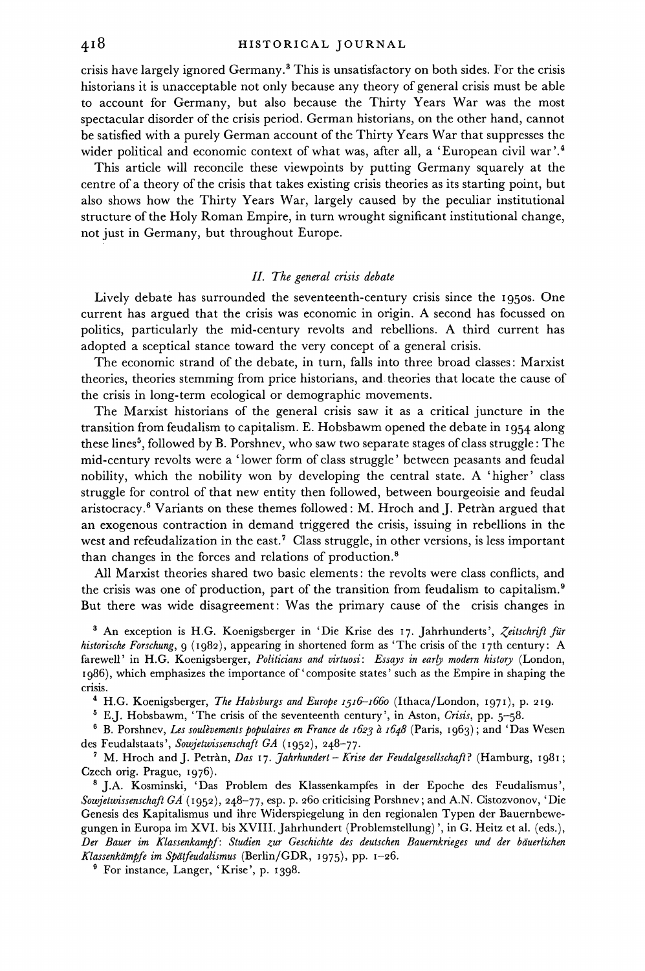crisis have largely ignored Germany.<sup>8</sup> This is unsatisfactory on both sides. For the crisis historians it is unacceptable not only because any theory of general crisis must be able to account for Germany, but also because the Thirty Years War was the most spectacular disorder of the crisis period. German historians, on the other hand, cannot be satisfied with a purely German account of the Thirty Years War that suppresses the wider political and economic context of what was, after all, a 'European civil war'.<sup>4</sup>

This article will reconcile these viewpoints by putting Germany squarely at the centre of a theory of the crisis that takes existing crisis theories as its starting point, but also shows how the Thirty Years War, largely caused by the peculiar institutional structure of the Holy Roman Empire, in turn wrought significant institutional change, not just in Germany, but throughout Europe.

#### *II. The general crisis debate*

Lively debate has surrounded the seventeenth-century crisis since the 1950s. One current has argued that the crisis was economic in origin. A second has focussed on politics, particularly the mid-century revolts and rebellions. A third current has adopted a sceptical stance toward the very concept of a general crisis.

The economic strand of the debate, in turn, falls into three broad classes: Marxist theories, theories stemming from price historians, and theories that locate the cause of the crisis in long-term ecological or demographic movements.

The Marxist historians of the general crisis saw it as a critical juncture in the transition from feudalism to capitalism. E. Hobsbawm opened the debate in I 954 along these lines<sup>5</sup>, followed by B. Porshnev, who saw two separate stages of class struggle : The mid-century revolts were a 'lower form of class struggle' between peasants and feudal nobility, which the nobility won by developing the central state. A 'higher' class struggle for control of that new entity then followed, between bourgeoisie and feudal aristocracy. $^6$  Variants on these themes followed: M. Hroch and J. Petran argued that an exogenous contraction in demand triggered the crisis, issuing in rebellions in the west and refeudalization in the east.' Class struggle, in other versions, is less important than changes in the forces and relations of production.'

All Marxist theories shared two basic elements : the revolts were class conflicts, and the crisis was one of production, part of the transition from feudalism to capitalism.' But there was wide disagreement: Was the primary cause of the crisis changes in

An exception is H.G. Koenigsberger in 'Die Krise des 17. Jahrhunderts', *zeitschrift fir historische Forschung, 9 (1982), appearing in shortened form as 'The crisis of the 17th century: A* farewell' in H.G. Koenigsberger, *Politicians and virtuosi: Essays in early modern history* (London, 1g86), which emphasizes the importance of 'composite states' such as the Empire in shaping the crisis.

H.G. Koenigsberger, *The Habsburgs and Europe 1516-1660* (Ithaca/London, 1971), p. 219.

E.J. Hobsbawm, 'The crisis of the seventeenth century', in Aston, *Crisis,* pp. 5-58.

<sup>8</sup> B. Porshnev, *Les soulèvements populaires en France de 1623 à 1648* (Paris, 1963); and 'Das Wesen des Feudalstaats', *Sowjetwissenschaft* GA (1952), 248-77. ' M. Hroch and J. Petrin, *Das* 17.*Jahrhundert* - *Krise der Feudalgesellschaj?* (Hamburg, 1981 ;

Czech orig. Prague, 1976).

J.A. Kosminski, 'Das Problem des Klassenkampfes in der Epoche des Feudalismus', *Sowjetwissenschaft* GA (1g52), 248-77, esp p. 260 criticising Porshnev; and A.N. Cistozvonov, 'Die Genesis des Kapitalismus und ihre Widerspiegelung in den regionalen Typen der Bauernbewegungen in Europa im XVI. bis XVIII. Jahrhundert (Problemstellung) ', in G. Heitz et al. (eds.), *Der Bauer im Klassenkampf: Studien zur Geschichte des deutschen Bauernkrieges und der bauerlichen Klassenkämpfe im Spätfeudalismus* (Berlin/GDR, 1975), pp. 1-26.<br>
<sup>9</sup> For instance, Langer, 'Krise', p. 1398.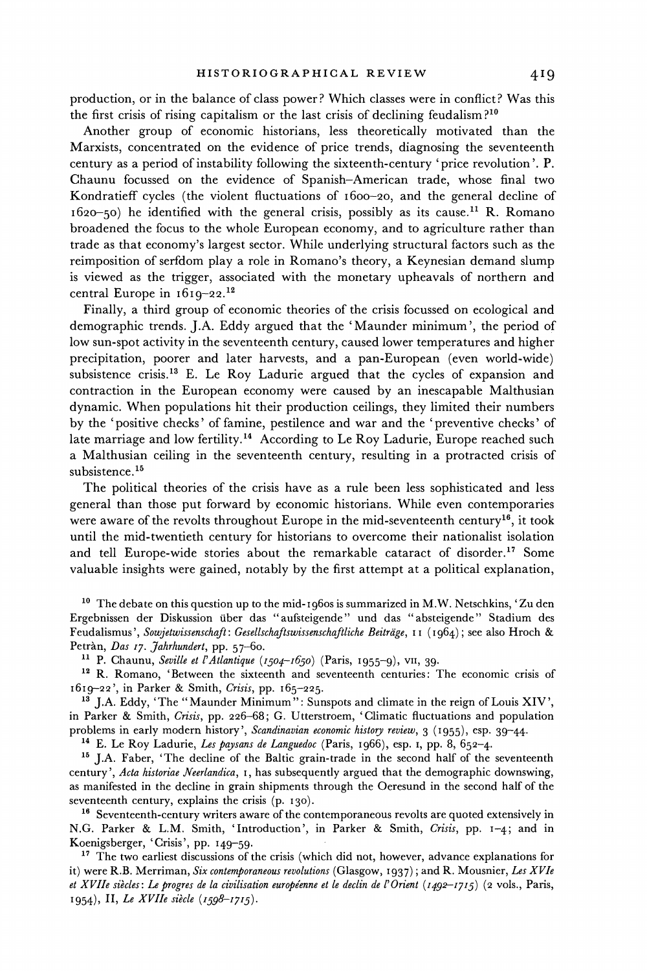production, or in the balance of class power? Which classes were in conflict? Was this the first crisis of rising capitalism or the last crisis of declining feudalism?<sup>10</sup>

Another group of economic historians, less theoretically motivated than the Marxists, concentrated on the evidence of price trends, diagnosing the seventeenth century as a period of instability following the sixteenth-century 'price revolution'. P. Chaunu focussed on the evidence of Spanish-American trade, whose final two Kondratieff cycles (the violent fluctuations of 1600-20, and the general decline of  $1620-50$ ) he identified with the general crisis, possibly as its cause.<sup>11</sup> R. Romano broadened the focus to the whole European economy, and to agriculture rather than trade as that economy's largest sector. While underlying structural factors such as the reimposition of serfdom play a role in Romano's theory, a Keynesian demand slump is viewed as the trigger, associated with the monetary upheavals of northern and central Europe in  $1619-22.<sup>12</sup>$ 

Finally, a third group of economic theories of the crisis focussed on ecological and demographic trends. J.A. Eddy argued that the 'Maunder minimum', the period of low sun-spot activity in the seventeenth century, caused lower temperatures and higher precipitation, poorer and later harvests, and a pan-European (even world-wide) subsistence crisis.<sup>13</sup> E. Le Roy Ladurie argued that the cycles of expansion and contraction in the European economy were caused by an inescapable Malthusian dynamic. When populations hit their production ceilings, they limited their numbers by the 'positive checks' of famine, pestilence and war and the 'preventive checks' of late marriage and low fertility.<sup>14</sup> According to Le Roy Ladurie, Europe reached such a Malthusian ceiling in the seventeenth century, resulting in a protracted crisis of subsistence.<sup>15</sup>

The political theories of the crisis have as a rule been less sophisticated and less general than those put forward by economic historians. While even contemporaries were aware of the revolts throughout Europe in the mid-seventeenth century<sup>16</sup>, it took until the mid-twentieth century for historians to overcome their nationalist isolation and tell Europe-wide stories about the remarkable cataract of disorder.'' Some valuable insights were gained, notably by the first attempt at a political explanation,

**lo** The debate on this question up to the mid-1960s is summarized in M.W. Netschkins, 'Zu den Ergebnissen der Diskussion iiber das "aufsteigende" und das "absteigende" Stadium des Feudalismus', *Sowjetwissenschaft: Gesellschaftswissenschaftliche Beiträge*, 11 (1964); see also Hroch & Petrin, *Das* 17. *Jahrhundert,* pp. 57-60.

l1 P. Chaunu, *Seuille et I'Atlantique* (1504-1650) (Paris, 1955-g), VII, 39.

<sup>12</sup> R. Romano, 'Between the sixteenth and seventeenth centuries: The economic crisis of 161y-22', in Parker & Smith, *Crisis,* pp. 165-225.

 $13$  J.A. Eddy, 'The "Maunder Minimum": Sunspots and climate in the reign of Louis XIV', in Parker & Smith, *Crisis,* pp. 226-68; G. Utterstroem, 'Climatic fluctuations and population problems in early modern history', *Scandinavian economic history review*, 3 (1955), esp. 39-44.

l4 E. Le Roy Ladurie, *Les paysans de Languedoc* (Paris, 1966), esp. I, pp. 8, 652-4.

**l5** J.A. Faber, 'The decline of the Baltic grain-trade in the second half of the seventeenth century ', *Acta historiae Neerlandica,* I, has subsequently argued that the demographic downswing, as manifested in the decline in grain shipments through the Oeresund in the second half of the seventeenth century, explains the crisis (p. 130).

 $16$  Seventeenth-century writers aware of the contemporaneous revolts are quoted extensively in N.G. Parker & L.M. Smith, 'Introduction', in Parker & Smith, *Crisis,* pp. 1-4; and in Koenigsberger, 'Crisis', pp. 149-59.

**l7** The two earliest discussions of the crisis (which did not, however, advance explanations for it) were R.B. Merriman, *Six contemporaneous revolutions* (Glasgow, 1937) ;and R. Mousnier, *Les XVIe*  et XVIIe siècles: Le progres de la civilisation européenne et le declin de l'Orient (1492-1715) (2 vols., Paris, 1g54),**11,** *Le XVIIe siicle* (1598-1713).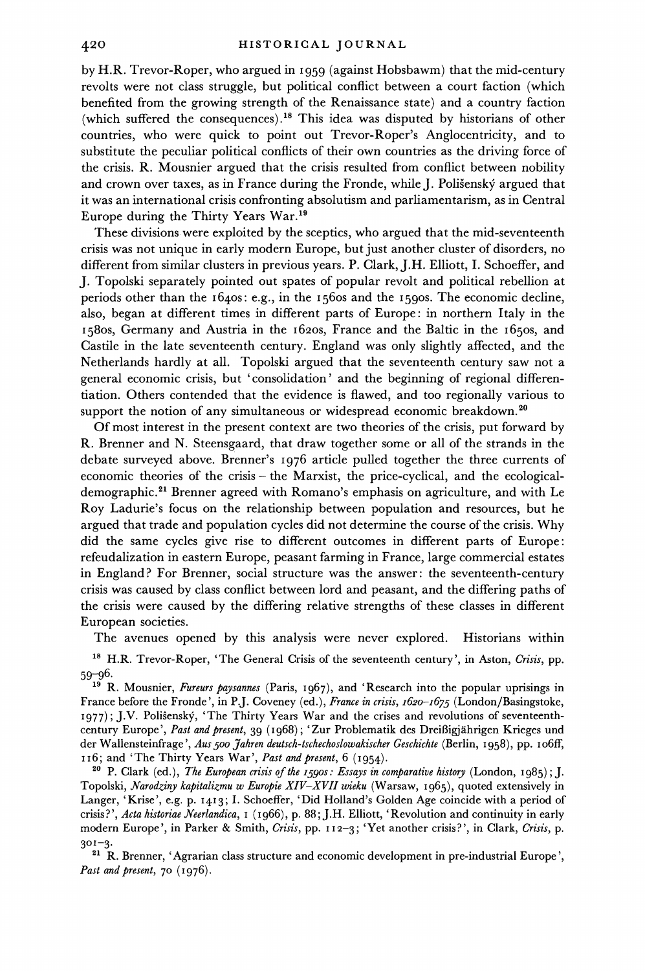by H.R. Trevor-Roper, who argued in 1959 (against Hobsbawm) that the mid-century revolts were not class struggle, but political conflict between a court faction (which benefited from the growing strength of the Renaissance state) and a country faction (which suffered the consequences).<sup>18</sup> This idea was disputed by historians of other countries, who were quick to point out Trevor-Roper's Anglocentricity, and to substitute the peculiar political conflicts of their own countries as the driving force of the crisis. R. Mousnier argued that the crisis resulted from conflict between nobility and crown over taxes, as in France during the Fronde, while J. Polišenský argued that it was an international crisis confronting absolutism and parliamentarism, as in Central Europe during the Thirty Years War.<sup>19</sup>

These divisions were exploited by the sceptics, who argued that the mid-seventeenth crisis was not unique in early modern Europe, but just another cluster of disorders, no different from similar clusters in previous years. P. Clark, J.H. Elliott, I. Schoeffer, and J. Topolski separately pointed out spates of popular revolt and political rebellion at periods other than the 1640s: e.g., in the 1560s and the 1590s The economic decline, also, began at different times in different parts of Europe: in northern Italy in the 158os, Germany and Austria in the 1620s, France and the Baltic in the 165os, and Castile in the late seventeenth century. England was only slightly affected, and the Netherlands hardly at all. Topolski argued that the seventeenth century saw not a general economic crisis, but 'consolidation' and the beginning of regional differentiation. Others contended that the evidence is flawed, and too regionally various to support the notion of any simultaneous or widespread economic breakdown.<sup>20</sup>

Of most interest in the present context are two theories of the crisis, put forward by R. Brenner and N. Steensgaard, that draw together some or all of the strands in the debate surveyed above. Brenner's 1976 article pulled together the three currents of economic theories of the crisis - the Marxist, the price-cyclical, and the ecologicaldemographic.<sup>21</sup> Brenner agreed with Romano's emphasis on agriculture, and with Le Roy Ladurie's focus on the relationship between population and resources, but he argued that trade and population cycles did not determine the course of the crisis. Why did the same cycles give rise to different outcomes in different parts of Europe: refeudalization in eastern Europe, peasant farming in France, large commercial estates in England? For Brenner, social structure was the answer: the seventeenth-century crisis was caused by class conflict between lord and peasant, and the differing paths of the crisis were caused by the differing relative strengths of these classes in different European societies.

The avenues opened by this analysis were never explored. Historians within

<sup>18</sup> H.R. Trevor-Roper, 'The General Crisis of the seventeenth century', in Aston, Crisis, pp. 59-96. l9 R. Mousnier, *Fureurs paysannes* (Paris, 19671, and 'Research into the popular uprisings in

France before the Fronde', in P.J. Coveney (ed.), *France in crisis, 1620-1675* (London/Basingstoke, 1977); J.V. Polisenský, 'The Thirty Years War and the crises and revolutions of seventeenthcentury Europe', Past and present, 39 (1968); 'Zur Problematik des Dreißigjährigen Krieges und der Wallensteinfrage', Aus 500 Jahren deutsch-tschechoslowakischer Geschichte (Berlin, 1958), pp. 106ff, I 16; and 'The Thirty Years War', *Past and present,* 6 (1954).

<sup>20</sup> P. Clark (ed.), *The European crisis of the 1590s: Essays in comparative history* (London, 1985); J. Topolski, *Narodziny kapitalizmu* w *Europie* XIV-XVII *lerzeku* (Warsaw, 1965)~ quoted extensively in Langer, 'Krise', e.g. p. 1413; I. Schoeffer, 'Did Holland's Golden Age coincide with a period of crisis?', *Acta historiae Neerlandica,* I (1966), p. 88;J.H. Elliott, 'Revolution and continuity in early modern Europe', in Parker & Smith, *Crisis,* pp. 112-3; 'Yet another crisis?', in Clark, *Crisis,* p. 301-3.

<sup>21</sup> R. Brenner, 'Agrarian class structure and economic development in pre-industrial Europe', *Past and present, 70* (1976).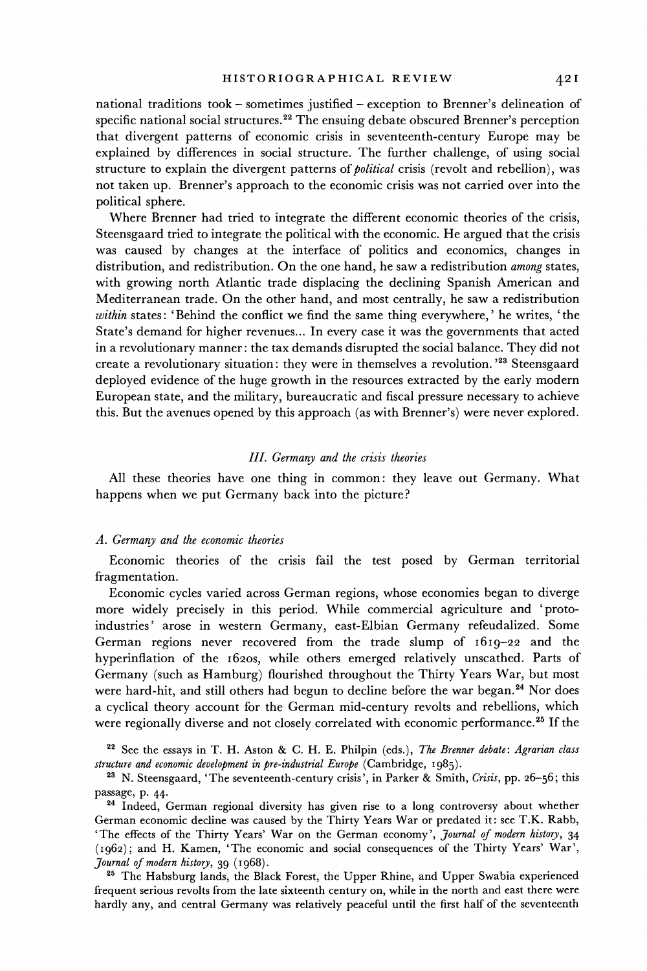national traditions took – sometimes justified – exception to Brenner's delineation of specific national social structures.<sup>22</sup> The ensuing debate obscured Brenner's perception that divergent patterns of economic crisis in seventeenth-century Europe may be explained by differences in social structure. The further challenge, of using social structure to explain the divergent patterns of *political* crisis (revolt and rebellion), was not taken up. Brenner's approach to the economic crisis was not carried over into the political sphere.

Where Brenner had tried to integrate the different economic theories of the crisis, Steensgaard tried to integrate the political with the economic. He argued that the crisis was caused by changes at the interface of politics and economics, changes in distribution, and redistribution. On the one hand, he saw a redistribution *among* states, with growing north Atlantic trade displacing the declining Spanish American and Mediterranean trade. On the other hand, and most centrally, he saw a redistribution *within* states: 'Behind the conflict we find the same thing everywhere,' he writes, 'the State's demand for higher revenues ... In every case it was the governments that acted in a revolutionary manner: the tax demands disrupted the social balance. They did not create a revolutionary situation: they were in themselves a revolution. '23 Steensgaard deployed evidence of the huge growth in the resources extracted by the early modern European state, and the military, bureaucratic and fiscal pressure necessary to achieve this. But the avenues opened by this approach (as with Brenner's) were never explored.

## *III. Germany and the crisis theories*

All these theories have one thing in common: they leave out Germany. What happens when we put Germany back into the picture?

#### *A. Germany and the economic theories*

Economic theories of the crisis fail the test posed by German territorial fragmentation.

Economic cycles varied across German regions, whose economies began to diverge more widely precisely in this period. While commercial agriculture and 'protoindustries' arose in western Germany, east-Elbian Germany refeudalized. Some German regions never recovered from the trade slump of 1619-22 and the hyperinflation of the 1620s, while others emerged relatively unscathed. Parts of Germany (such as Hamburg) flourished throughout the Thirty Years War, but most were hard-hit, and still others had begun to decline before the war began.<sup>24</sup> Nor does a cyclical theory account for the German mid-century revolts and rebellions, which were regionally diverse and not closely correlated with economic performance.<sup>25</sup> If the

See the essays in T. H. Aston & C. H. E. Philpin (eds.), *The Brenner debate: Agrarian class structure and economic development in fire-industrial Eurofie* (Cambridge, 1985).

23 N. Steensgaard, 'The seventeenth-century crisis', in Parker & Smith, *Crisis,* pp. 26-56; this passage, p. 44.

<sup>24</sup> Indeed, German regional diversity has given rise to a long controversy about whether German economic decline was caused by the Thirty Years War or predated it: see T.K. Rabb, 'The effects of the Thirty Years' War on the German economy', *Journal of modern history,* 34 (1962); and H. Kamen, 'The economic and social consequences of the Thirty Years' War', *Journal of modern history,* 39 *(I* 968).

<sup>25</sup> The Habsburg lands, the Black Forest, the Upper Rhine, and Upper Swabia experienced frequent serious revolts from the late sixteenth century on, while in the north and east there were hardly any, and central Germany was relatively peaceful until the first half of the seventeenth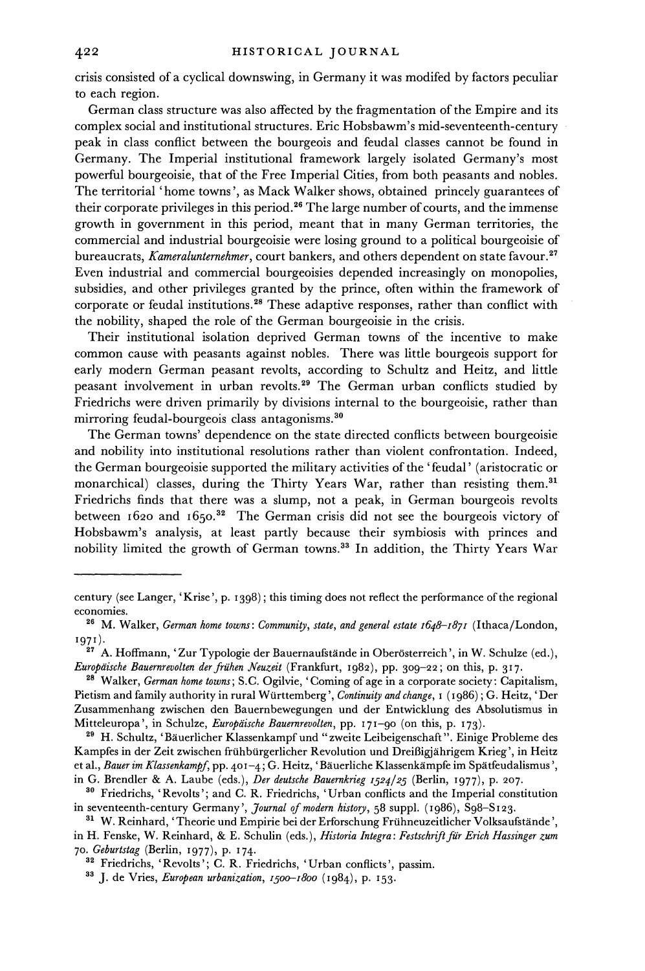crisis consisted of a cyclical downswing, in Germany it was modifed by factors peculiar to each region.

German class structure was also affected by the fragmentation of the Empire and its complex social and institutional structures. Eric Hobsbawm's mid-seventeenth-century peak in class conflict between the bourgeois and feudal classes cannot be found in Germany. The Imperial institutional framework largely isolated Germany's most powerful bourgeoisie, that of the Free Imperial Cities, from both peasants and nobles. The territorial 'home towns', as Mack Walker shows, obtained princely guarantees of their corporate privileges in this period.26 The large number of courts, and the immense growth in government in this period, meant that in many German territories, the commercial and industrial bourgeoisie were losing ground to a political bourgeoisie of bureaucrats, *Kameralunternehmer*, court bankers, and others dependent on state favour.<sup>27</sup> Even industrial and commercial bourgeoisies depended increasingly on monopolies, subsidies, and other privileges granted by the prince, often within the framework of corporate or feudal institutions.<sup>28</sup> These adaptive responses, rather than conflict with the nobility, shaped the role of the German bourgeoisie in the crisis.

Their institutional isolation deprived German towns of the incentive to make common cause with peasants against nobles. There was little bourgeois support for early modern German peasant revolts, according to Schultz and Heitz, and little peasant involvement in urban revolts.29 The German urban conflicts studied by Friedrichs were driven primarily by divisions internal to the bourgeoisie, rather than mirroring feudal-bourgeois class antagonisms.<sup>30</sup>

The German towns' dependence on the state directed conflicts between bourgeoisie and nobility into institutional resolutions rather than violent confrontation. Indeed, the German bourgeoisie supported the military activities of the 'feudal ' (aristocratic or monarchical) classes, during the Thirty Years War, rather than resisting them.<sup>31</sup> Friedrichs finds that there was a slump, not a peak, in German bourgeois revolts between  $1620$  and  $1650.^{32}$  The German crisis did not see the bourgeois victory of Hobsbawm's analysis, at least partly because their symbiosis with princes and nobility limited the growth of German towns.33 In addition, the Thirty Years War

century (see Langer, 'Krise', p. 1398) ; this timing does not reflect the performance of the regional economies.

<sup>&</sup>lt;sup>26</sup> M. Walker, *German home towns: Community, state, and general estate 1648–1871* (Ithaca/London, '97').

<sup>&</sup>lt;sup>27</sup> A. Hoffmann, 'Zur Typologie der Bauernaufstände in Oberösterreich', in W. Schulze (ed.), *Europäische Bauernrevolten der frühen Neuzeit* (Frankfurt, 1982), pp. 309-22; on this, p. 317.

Walker, *German home towns;* S.C. Ogilvie, 'Coming of age in a corporate society: Capitalism, Pietism and family authority in rural Württemberg', *Continuity and change*, *I* (1986); G. Heitz, 'Der Zusammenhang zwischen den Bauernbewegungen und der Entwicklung des Absolutismus in Mitteleuropa', in Schulze, *Europaische Bauernreuolten,* pp. 171-go (on this, p. 173).

<sup>29</sup> H. Schultz, 'Bauerlicher Klassenkampf und "zweite Leibeigenschaft ". Einige Probleme des Kampfes in der Zeit zwischen frühbürgerlicher Revolution und Dreißigjährigem Krieg', in Heitz et al., *Bauer in Klassenkampf,* pp. 401-4; *G.*Heitz, 'Bauerliche Klassenkampfe im Spatfeudalismus', in G. Brendler & A. Laube (eds.), *Der deutsche Bauernkrieg 1524/25* (Berlin, 1977), p. 207.

<sup>30</sup> Friedrichs, 'Revolts'; and C. R. Friedrichs, 'Urban conflicts and the Imperial constitution in seventeenth-century Germany ', *Journal of modern history,* 58 suppl. (1g86), Sg8-S123.

<sup>&</sup>lt;sup>31</sup> W. Reinhard, 'Theorie und Empirie bei der Erforschung Frühneuzeitlicher Volksaufstände', in H. Fenske, W. Reinhard, & E. Schulin (eds.), *Historia Integra: Festschrift für Erich Hassinger zum* 70 *Geburtstag* (Berlin, 1g77), **p.** 174.

<sup>32</sup> Friedrichs, 'Revolts'; C. R. Friedrichs, 'Urban conflicts', passim.

<sup>&</sup>lt;sup>33</sup> J. de Vries, *European urbanization*, 1500-1800 (1984), p. 153.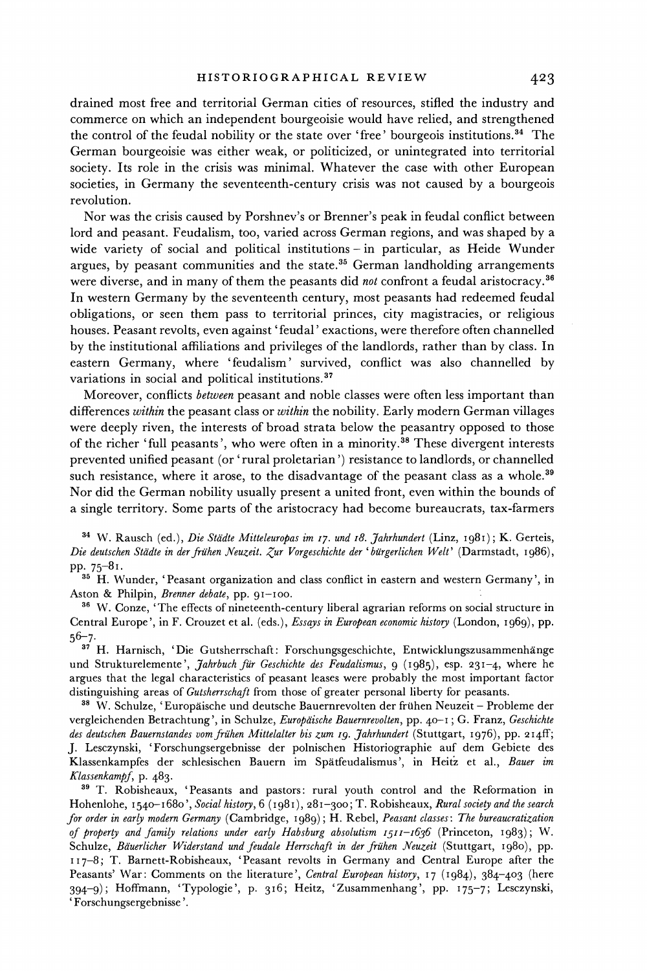drained most free and territorial German cities of resources, stifled the industry and commerce on which an independent bourgeoisie would have relied, and strengthened the control of the feudal nobility or the state over 'free' bourgeois institutions. $^{34}$  The German bourgeoisie was either weak, or politicized, or unintegrated into territorial society. Its role in the crisis was minimal. Whatever the case with other European societies, in Germany the seventeenth-century crisis was not caused by a bourgeois revolution.

Nor was the crisis caused by Porshnev's or Brenner's peak in feudal conflict between lord and peasant. Feudalism, too, varied across German regions, and was shaped by a wide variety of social and political institutions - in particular, as Heide Wunder argues, by peasant communities and the state.<sup>35</sup> German landholding arrangements were diverse, and in many of them the peasants did *not* confront a feudal aristocracy.<sup>36</sup> In western Germany by the seventeenth century, most peasants had redeemed feudal obligations, or seen them pass to territorial princes, city magistracies, or religious houses. Peasant revolts, even against 'feudal' exactions, were therefore often channelled by the institutional affiliations and privileges of the landlords, rather than by class. In eastern Germany, where 'feudalism' survived, conflict was also channelled by variations in social and political institutions.<sup>37</sup>

Moreover, conflicts *between* peasant and noble classes were often less important than differences *within* the peasant class or *within* the nobility. Early modern German villages were deeply riven, the interests of broad strata below the peasantry opposed to those of the richer 'full peasants', who were often in a minority. $^{38}$  These divergent interests prevented unified peasant (or 'rural proletarian ') resistance to landlords, or channelled such resistance, where it arose, to the disadvantage of the peasant class as a whole.<sup>39</sup> Nor did the German nobility usually present a united front, even within the bounds of a single territory. Some parts of the aristocracy had become bureaucrats, tax-farmers

34 W. Rausch (ed.), *Die Stadte Mitteleuropas im* 17, *und* 18. *Jahrhundert* (Linz, 1981) ; K. Gerteis, *Die deutschen Stadte in derfruhen ,Veuzeit. Zur Vorgeschichte der* ' *burgerlichen Welt'* (Darmstadt, 1g86), pp. 75-81.

<sup>35</sup> H. Wunder, 'Peasant organization and class conflict in eastern and western Germany', in Aston & Philpin, *Brenner debate,* pp. 91-100.

<sup>36</sup> W. Conze, 'The effects of nineteenth-century liberal agrarian reforms on social structure in Central Europe', in F. Crouzet et al. (eds.), *Essays in European economic history* (London, 1969), pp. 56-7.<br><sup>37</sup> H. Harnisch, 'Die Gutsherrschaft: Forschungsgeschichte, Entwicklungszusammenhänge

und Strukturelemente', *Jahrbuch fur Geschichte des Feudalismus,* g (1985), esp. 231-4, where he argues that the legal characteristics of peasant leases were probably the most important factor distinguishing areas of *Gutsherrschaft* from those of greater personal liberty for peasants.

<sup>38</sup> W. Schulze, 'Europäische und deutsche Bauernrevolten der frühen Neuzeit – Probleme der vergleichenden Betrachtung', in Schulze, *Europaische Bauernrevolten,* pp. 40-1 ;G. Franz, *Geschichte*  des deutschen Bauernstandes vom frühen Mittelalter bis zum 19. Jahrhundert (Stuttgart, 1976), pp. 214ff; J. Lesczynski, 'Forschungsergebnisse der polnischen Historiographie auf dem Gebiete des Klassenkampfes der schlesischen Bauern im Spatfeudalismus', in Heitz et al., *Bauer im Klassenkampf,* p. 483.

39 T. Robisheaux, 'Peasants and pastors: rural youth control and the Reformation in Hohenlohe, 1540--1680 ', *Social history,* 6 (1g81), 281-300; T. Robisheaux, *Rural society and the search for order in early modern Germany* (Cambridge, 1989) ;H. Rebel, *Peasant classes: The bureaucratization*  of property and family relations under early Habsburg absolutism  $1511-1636$  (Princeton, 1983); W. Schulze, *Bäuerlicher Widerstand und feudale Herrschaft in der frühen Neuzeit* (Stuttgart, 1980), pp. 117-8; T. Barnett-Robisheaux, 'Peasant revolts in Germany and Central Europe after the Peasants' War: Comments on the literature', *Central European history*, 17 (1984), 384-403 (here 394-9); Hoffmann, 'Typologie', p. 316; Heitz, 'Zusammenhang', pp. 175-7; Lesczynski, 'Forschungsergebnisse '.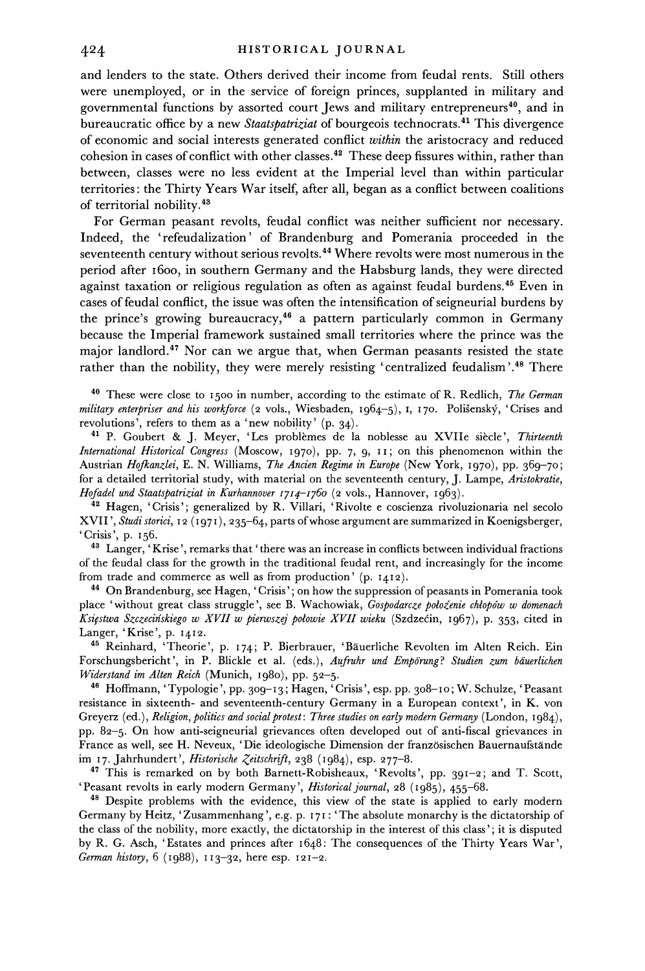and lenders to the state. Others derived their income from feudal rents. Still others were unemployed, or in the service of foreign princes, supplanted in military and governmental functions by assorted court Jews and military entrepreneurs $40$ , and in bureaucratic office by a new *Staatspatriziat* of bourgeois technocrats.<sup>41</sup> This divergence of economic and social interests generated conflict *within* the aristocracy and reduced cohesion in cases of conflict with other classes.<sup>42</sup> These deep fissures within, rather than between, classes were no less evident at the Imperial level than within particular territories: the Thirty Years War itself, after all, began as a conflict between coalitions of territorial nobility.43

For German peasant revolts, feudal conflict was neither sufficient nor necessary. Indeed, the 'refeudalization' of Brandenburg and Pomerania proceeded in the seventeenth century without serious revolts.44 Where revolts were most numerous in the period after 1600, in southern Germany and the Habsburg lands, they were directed against taxation or religious regulation as often as against feudal burdens.45 Even in cases of feudal conflict, the issue was often the intensification of seigneurial burdens by the prince's growing bureaucracy, $^{46}$  a pattern particularly common in Germany because the Imperial framework sustained small territories where the prince was the major landlord.<sup>47</sup> Nor can we argue that, when German peasants resisted the state rather than the nobility, they were merely resisting 'centralized feudalism'. $^{48}$  There

40 These were close to 1500 in number, according to the estimate of R. Redlich, *The German military enterpriser and his workforce* (2 vols., Wiesbaden, 1964-5), I, 170. Polišenský, 'Crises and revolutions', refers to them as a 'new nobility' (p. 34).

<sup>41</sup> P. Goubert & J. Meyer, 'Les problèmes de la noblesse au XVIIe siècle', Thirteenth *International Historical Congress* (Moscow, 1g70), pp. 7, 9, 1I ; on this phenomenon within the Austrian *Hofkanzlei,* E. N. Williams, *The Ancien Regime in Europe* (New York, 1g70), pp. 369-70; for a detailed territorial study, with material on the seventeenth century, J. Lampe, *Aristokratie, Hojadel und Staatspatriziat in Kurhannouer* 1714-1760 (2 vols., Hannover, 1963).

42 Hagen, 'Crisis'; generalized by R. Villari, 'Rivolte e coscienza rivoluzionaria nel secolo XVII ', *Studistorici,* 12 (1g71), 235-64, parts ofwhose argument are summarized in Koenigsberger, 'Crisis', p. 156.

<sup>43</sup> Langer, 'Krise', remarks that 'there was an increase in conflicts between individual fractions of the feudal class for the growth in the traditional feudal rent, and increasingly for the income from trade and commerce as well as from production' (p.  $1412$ ).

44 On Brandenburg, see Hagen, 'Crisis'; on how the suppression of peasants in Pomerania took place 'without great class struggle', see B. Wachowiak, *Gospodarcze poloienie chlopdm w domenach Ksifstwa Szczecidskiego w XVZZ m pierwszej polomie XVZZ wieku* (Szdzedin, 1967), p. 353, cited in Langer, 'Krise', p. 1412.

45 Reinhard, 'Theorie', p. 174; P. Bierbrauer, 'Bauerliche Revolten im Alten Reich. Ein Forschungsbericht', in P. Blickle et al. (eds.), *Aujruhr und Empd'rung? Studien zum bauerlichen Widerstand im Alten Reich* (Munich, 1980), pp. 52-5.

 $46$  Hoffmann, 'Typologie', pp.  $309-13$ ; Hagen, 'Crisis', esp. pp.  $308-10$ ; W. Schulze, 'Peasant resistance in sixteenth- and seventeenth-century Germany in a European context', in K, von Greyerz (ed.), *Religion, politics and social protest: Three studies on early modern Germany* (London, 1984), pp. 82-5 On how anti-seigneurial grievances often developed out of anti-fiscal grievances in France as well, see H. Neveux, 'Die ideologische Dimension der französischen Bauernaufstände im 17. Jahrhundert', *Historische Zeitschrift*, 238 (1984), esp. 277-8.

47 This is remarked on by both Barnett-Robisheaux, 'Revolts', pp. 391-2; and T. Scott, 'Peasant revolts in early modern Germany', *Historical journal,* 28 (1985)) 455-68.

<sup>48</sup> Despite problems with the evidence, this view of the state is applied to early modern Germany by Heitz, 'Zusammenhang', e.g. p. 171 : 'The absolute monarchy is the dictatorship of the class of the nobility, more exactly, the dictatorship in the interest of this class'; it is disputed by R. G. Asch, 'Estates and princes after 1648: The consequences of the Thirty Years War', *German history*, 6 (1988), 113-32, here esp. 121-2.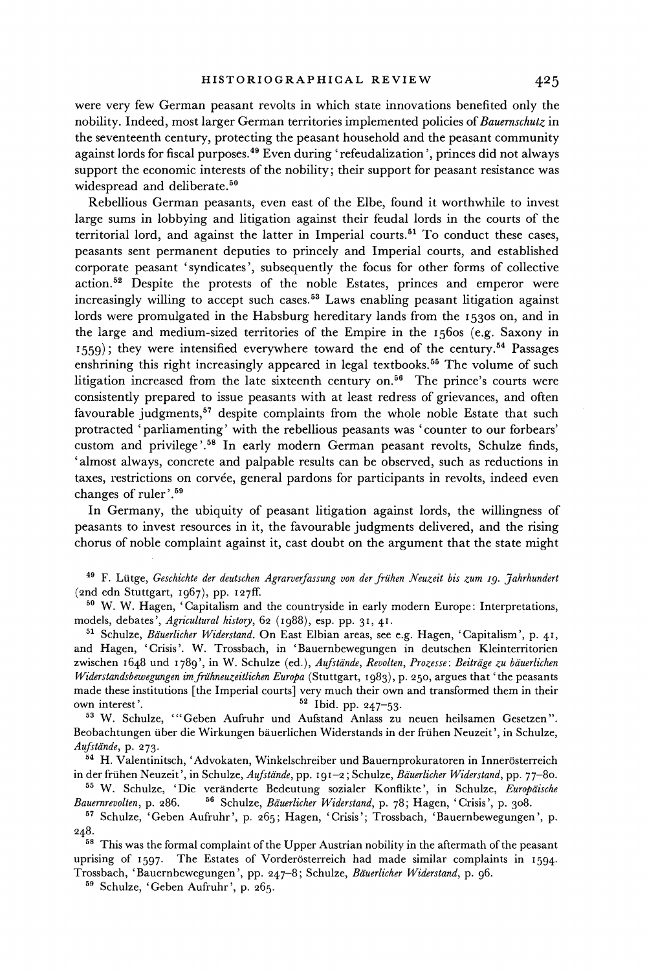were very few German peasant revolts in which state innovations benefited only the nobility. Indeed, most larger German territories implemented policies of *Bauernschutz* in the seventeenth century, protecting the peasant household and the peasant community against lords for fiscal purposes.49 Even during 'refeudalization ', princes did not always support the economic interests of the nobility; their support for peasant resistance was widespread and deliberate.<sup>50</sup>

Rebellious German peasants, even east of the Elbe, found it worthwhile to invest large sums in lobbying and litigation against their feudal lords in the courts of the territorial lord, and against the latter in Imperial courts.<sup>51</sup> To conduct these cases, peasants sent permanent deputies to princely and Imperial courts, and established corporate peasant 'syndicates', subsequently the focus for other forms of collective  $action.<sup>52</sup>$  Despite the protests of the noble Estates, princes and emperor were increasingly willing to accept such cases.<sup>53</sup> Laws enabling peasant litigation against lords were promulgated in the Habsburg hereditary lands from the 1530s on, and in the large and medium-sized territories of the Empire in the 1560s (e.g. Saxony in  $1559$ ; they were intensified everywhere toward the end of the century.<sup>54</sup> Passages enshrining this right increasingly appeared in legal textbooks.<sup>55</sup> The volume of such litigation increased from the late sixteenth century on.<sup>56</sup> The prince's courts were consistently prepared to issue peasants with at least redress of grievances, and often favourable judgments,<sup>57</sup> despite complaints from the whole noble Estate that such protracted 'parliamenting' with the rebellious peasants was 'counter to our forbears' custom and privilege'.<sup>58</sup> In early modern German peasant revolts, Schulze finds, 'almost always, concrete and palpable results can be observed, such as reductions in taxes, restrictions on corvée, general pardons for participants in revolts, indeed even changes of ruler '.59

In Germany, the ubiquity of peasant litigation against lords, the willingness of peasants to invest resources in it, the favourable judgments delivered, and the rising chorus of noble complaint against it, cast doubt on the argument that the state might

49 F. Lutge, *Geschichte der deutschen Agmruerjassung uon derjruhen Neuzeit bis zum 19. Jahrhundert*  (2nd edn Stuttgart,  $1967$ ), pp.  $127ff$ .

50 W. W. Hagen, 'Capitalism and the countryside in early modern Europe: Interpretations, models, debates', *Agricultural history,* 62 (1988), esp. pp. 31, 41.

51 Schulze, *Buuerlicher Widerstand.* On East Elbian areas, see e.g. Hagen, 'Capitalism', p. 41, and Hagen, 'Crisis'. W. Trossbach, in 'Bauernbewegungen in deutschen Kleinterritorien zwischen 1648 und 1789', in W. Schulze (ed.), *Aujstande, Revolten, Prozesse: Beitrage zu bauerlichen Widerstandsbewegungen infruhneuzeitlichen Europa* (Stuttgart, 1983), p. 250, argues that 'the peasants made these institutions [the Imperial courts] very much their own and transformed them in their own interest'.  $52 \text{ Ibid. pp. } 247 - 53$ .

53 W. Schulze, "'Geben Aufruhr und Aufstand Anlass zu neuen heilsamen Gesetzen". Beobachtungen uber die Wirkungen bauerlichen Widerstands in der friihen Neuzeit', in Schulze, *Aujstunde,* p. 273.

<sup>54</sup> H. Valentinitsch, 'Advokaten, Winkelschreiber und Bauernprokuratoren in Innerösterreich in der fruhen Neuzeit', in Schulze, *Aufstande,* pp. 191-2 ;Schulze, *Bauerlicher Widerstand,* pp. 77-80.

55 W. Schulze, 'Die veranderte Bedeutung sozialer Konflikte', in Schulze, *Europaische Bauernreuolten,* p. 286. 56 Schulze, *Bauerlicher Widerstand,* p. 78; Hagen, 'Crisis', p. 308.

57 Schulze, 'Geben Aufruhr', p. 265; Hagen, 'Crisis'; Trossbach, 'Bauernbewegungen', p. 248.

<sup>58</sup> This was the formal complaint of the Upper Austrian nobility in the aftermath of the peasant uprising of 1597. The Estates of Vorderosterreich had made similar complaints in 1594. Trossbach, 'Bauernbewegungen', pp. 247-8; Schulze, *Bauerlicher Widerstand,* p. 96.

59 Schulze, 'Geben Aufruhr', p. 265.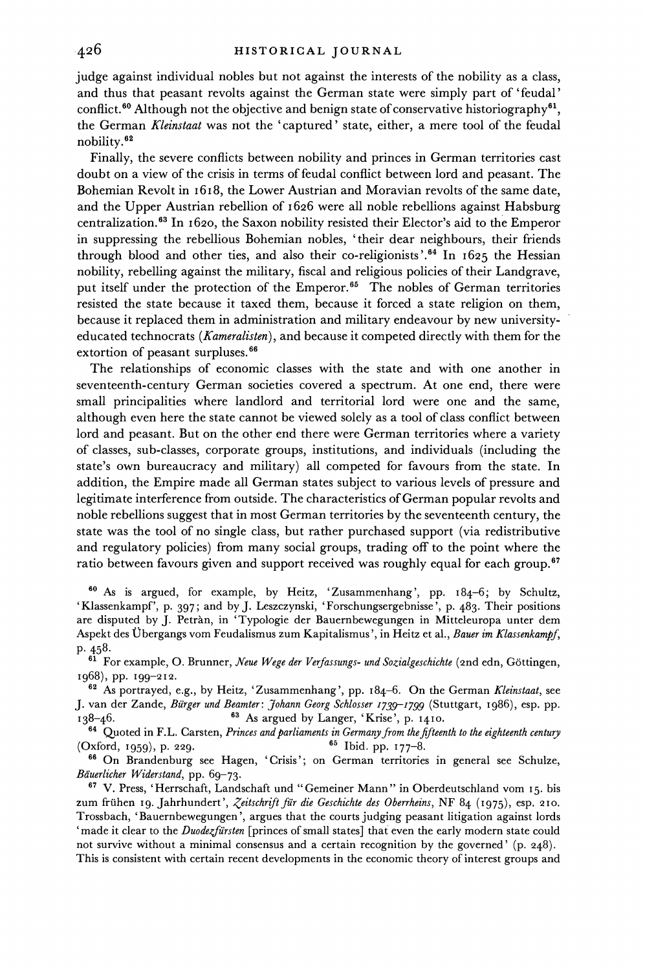judge against individual nobles but not against the interests of the nobility as a class, and thus that peasant revolts against the German state were simply part of 'feudal' conflict.<sup>60</sup> Although not the objective and benign state of conservative historiography<sup>61</sup>, the German Kleinstaat was not the 'captured' state, either, a mere tool of the feudal nobility.<sup>62</sup>

Finally, the severe conflicts between nobility and princes in German territories cast doubt on a view of the crisis in terms of feudal conflict between lord and peasant. The Bohemian Revolt in 1618, the Lower Austrian and Moravian revolts of the same date, and the Upper Austrian rebellion of 1626 were all noble rebellions against Habsburg centralization.<sup>63</sup> In 1620, the Saxon nobility resisted their Elector's aid to the Emperor in suppressing the rebellious Bohemian nobles, 'their dear neighbours, their friends through blood and other ties, and also their co-religionists'.<sup>64</sup> In 1625 the Hessian nobility, rebelling against the military, fiscal and religious policies of their Landgrave, put itself under the protection of the Emperor.<sup>65</sup> The nobles of German territories resisted the state because it taxed them, because it forced a state religion on them, because it replaced them in administration and military endeavour by new universityeducated technocrats (Kameralisten), and because it competed directly with them for the extortion of peasant surpluses.<sup>66</sup>

The relationships of economic classes with the state and with one another in seventeenth-century German societies covered a spectrum. At one end, there were small principalities where landlord and territorial lord were one and the same, although even here the state cannot be viewed solely as a tool of class conflict between lord and peasant. But on the other end there were German territories where a variety of classes, sub-classes, corporate groups, institutions, and individuals (including the state's own bureaucracy and military) all competed for favours from the state. In addition, the Empire made all German states subject to various levels of pressure and legitimate interference from outside. The characteristics of German popular revolts and noble rebellions suggest that in most German territories by the seventeenth century, the state was the tool of no single class, but rather purchased support (via redistributive and regulatory policies) from many social groups, trading off to the point where the ratio between favours given and support received was roughly equal for each group.<sup>67</sup>

<sup>60</sup> As is argued, for example, by Heitz, 'Zusammenhang', pp. 184-6; by Schultz, 'Klassenkampf', p. 397; and by J. Leszczynski, 'Forschungsergebnisse', p. 483 Their positions are disputed by J. Petràn, in 'Typologie der Bauernbewegungen in Mitteleuropa unter dem Aspekt des Ubergangs vom Feudalismus zum Kapitalismus', in Heitz et al., *Bauer im KlassenkamPf,*  P. 458.

<sup>31</sup> For example, O. Brunner, *Neue Wege der Verfassungs- und Sozialgeschichte* (2nd edn, Göttingen, 1968), pp. 199-2 12.

62 AS portrayed, e.g., by Heitz, 'Zusammenhang', pp. 184-6. On the German *Kleinstaat,* see J. van der Zande, Bürger und Beamter: Johann Georg Schlosser 1739-1799 (Stuttgart, 1986), esp. pp. 138-46. **63** AS argued by Langer, 'Krise', p. 1410.

<sup>84</sup> Quoted in F.L. Carsten, *Princes and parliaments in Germany from the fifteenth to the eighteenth century* (Oxford, 1959), p. 229.

<sup>66</sup> On Brandenburg see Hagen, 'Crisis'; on German territories in general see Schulze, *Bauerlicher Widerstand,* pp. 69-73.

<sup>67</sup> V. Press, 'Herrschaft, Landschaft und "Gemeiner Mann" in Oberdeutschland vom 15. bis zum frühen 19. Jahrhundert', Zeitschrift für die Geschichte des Oberrheins, NF 84 (1975), esp. 210. Trossbach, 'Bauernbewegungen', argues that the courts judging peasant litigation against lords 'made it clear to the *DuodeZfursten* [princes of small states] that even the early modern state could not survive without a minimal consensus and a certain recognition by the governed' (p. 248). This is consistent with certain recent developments in the economic theory of interest groups and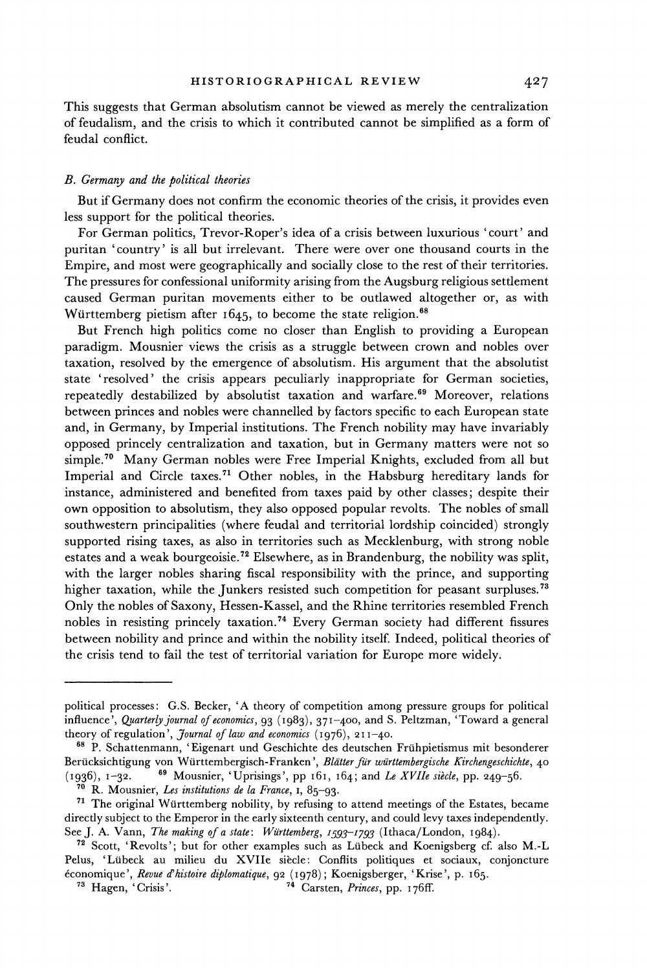This suggests that German absolutism cannot be viewed as merely the centralization of feudalism, and the crisis to which it contributed cannot be simplified as a form of feudal conflict.

## *B. Germag and the political theories*

But if Germany does not confirm the economic theories of the crisis, it provides even less support for the political theories.

For German politics, Trevor-Roper's idea of a crisis between luxurious 'court' and puritan 'country' is all but irrelevant. There were over one thousand courts in the Empire, and most were geographically and socially close to the rest of their territories. The pressures for confessional uniformity arising from the Augsburg religious settlement caused German puritan movements either to be outlawed altogether or, as with Württemberg pietism after  $1645$ , to become the state religion.<sup>68</sup>

But French high politics come no closer than English to providing a European paradigm. Mousnier views the crisis as a struggle between crown and nobles over taxation, resolved by the emergence of absolutism. His argument that the absolutist state 'resolved' the crisis appears peculiarly inappropriate for German societies, repeatedly destabilized by absolutist taxation and warfare.<sup>69</sup> Moreover, relations between princes and nobles were channelled by factors specific to each European state and, in Germany, by Imperial institutions. The French nobility may have invariably opposed princely centralization and taxation, but in Germany matters were not so simple.<sup>70</sup> Many German nobles were Free Imperial Knights, excluded from all but Imperial and Circle taxes.<sup>71</sup> Other nobles, in the Habsburg hereditary lands for instance, administered and benefited from taxes paid by other classes; despite their own opposition to absolutism, they also opposed popular revolts. The nobles of small southwestern principalities (where feudal and territorial lordship coincided) strongly supported rising taxes, as also in territories such as Mecklenburg, with strong noble estates and a weak bourgeoisie.<sup>72</sup> Elsewhere, as in Brandenburg, the nobility was split, with the larger nobles sharing fiscal responsibility with the prince, and supporting higher taxation, while the Junkers resisted such competition for peasant surpluses.<sup>73</sup> Only the nobles of Saxony, Hessen-Kassel, and the Rhine territories resembled French nobles in resisting princely taxation.74 Every German society had different fissures between nobility and prince and within the nobility itself. Indeed, political theories of the crisis tend to fail the test of territorial variation for Europe more widely.

political processes: G.S. Becker, 'A theory of competition among pressure groups for political influence', *guarterb journal of economics,* 93 (1983), 371-400, and S. Peltzman, 'Toward a general theory of regulation', *Journal of law and economics* (1976), 21 1-40,

<sup>&</sup>lt;sup>68</sup> P. Schattenmann, 'Eigenart und Geschichte des deutschen Frühpietismus mit besonderer Berücksichtigung von Württembergisch-Franken', Blätter für württembergische Kirchengeschichte, 40 (1936), 1-32. <sup>69</sup> Mousnier, 'Uprisings', pp 161, 164; and *Le XVIIe siècle*, pp. 249-56.

**<sup>70</sup>**R. Mousnier, *Les institutions de la France,* I, 85-93.

<sup>&</sup>lt;sup>71</sup> The original Württemberg nobility, by refusing to attend meetings of the Estates, became directly subject to the Emperor in the early sixteenth century, and could levy taxes independently. See J. A. Vann, *The making of a state: Württemberg, 1593–1793* (Ithaca/London, 1984). <sup>72</sup> Scott, 'Revolts'; but for other examples such as Lübeck and Koenigsberg cf. also M.-L

Pelus, 'Lubeck au milieu du XVIIe sikcle: Conflits politiques et sociaux, conjoncture tconomique', *Revue d'histoire diplomatique,* 92 (I 978) ; Koenigsberger, ' Krise ', p. 165.

<sup>&</sup>lt;sup>74</sup> Carsten, *Princes*, pp. 176ff.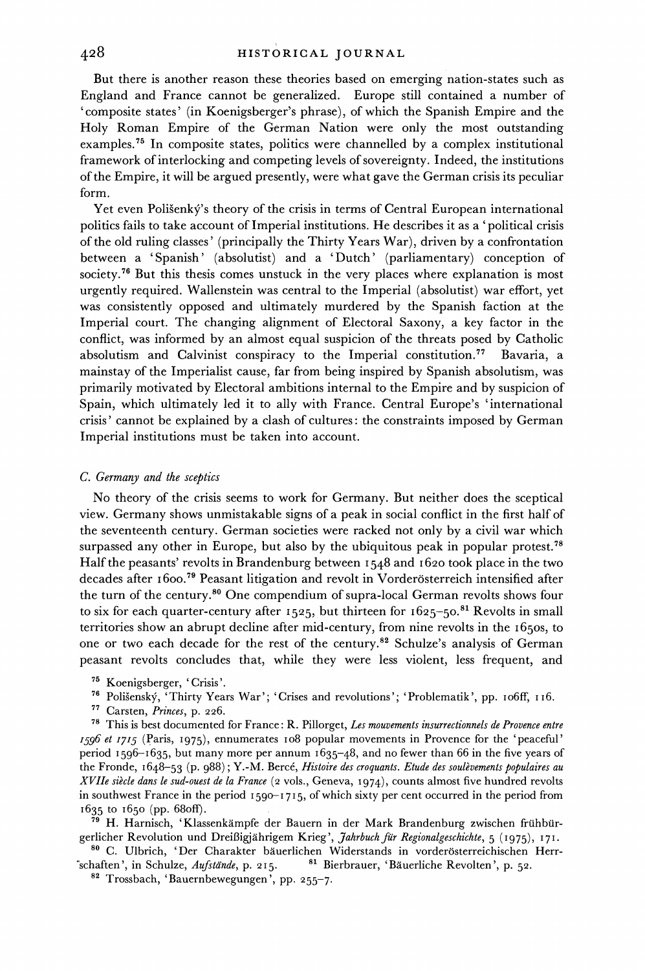But there is another reason these theories based on emerging nation-states such as England and France cannot be generalized. Europe still contained a number of 'composite states' (in Koenigsberger's phrase), of which the Spanish Empire and the Holy Roman Empire of the German Nation were only the most outstanding examples.75 In composite states, politics were channelled by a complex institutional framework of interlocking and competing levels of sovereignty. Indeed, the institutions of the Empire, it will be argued presently, were what gave the German crisis its peculiar form.

Yet even Polišenký's theory of the crisis in terms of Central European international politics fails to take account of Imperial institutions. He describes it as a 'political crisis of the old ruling classes' (principally the Thirty Years War), driven by a confrontation between a 'Spanish' (absolutist) and a 'Dutch' (parliamentary) conception of society.<sup>76</sup> But this thesis comes unstuck in the very places where explanation is most urgently required. Wallenstein was central to the Imperial (absolutist) war effort, yet was consistently opposed and ultimately murdered by the Spanish faction at the Imperial court. The changing alignment of Electoral Saxony, a key factor in the conflict, was informed by an almost equal suspicion of the threats posed by Catholic absolutism and Calvinist conspiracy to the Imperial constitution.<sup>77</sup> Bavaria, a mainstay of the Imperialist cause, far from being inspired by Spanish absolutism, was primarily motivated by Electoral ambitions internal to the Empire and by suspicion of Spain, which ultimately led it to ally with France. Central Europe's 'international crisis' cannot be explained by a clash of cultures: the constraints imposed by German Imperial institutions must be taken into account.

#### *C. Germany and the sceptic3*

No theory of the crisis seems to work for Germany. But neither does the sceptical view. Germany shows unmistakable signs of a peak in social conflict in the first half of the seventeenth century. German societies were racked not only by a civil war which surpassed any other in Europe, but also by the ubiquitous peak in popular protest.<sup>78</sup> Half the peasants' revolts in Brandenburg between 1548 and 1620 took place in the two decades after 1600.<sup>79</sup> Peasant litigation and revolt in Vorderösterreich intensified after the turn of the century.80 One compendium of supra-local German revolts shows four to six for each quarter-century after 1525, but thirteen for  $1625-50$ .<sup>81</sup> Revolts in small territories show an abrupt decline after mid-century, from nine revolts in the 165os, to one or two each decade for the rest of the century.<sup>82</sup> Schulze's analysis of German peasant revolts concludes that, while they were less violent, less frequent, and

78 This is best documented for France: R. Pillorget, *Les mouvements insurrectionnels de Prouence entre 1596 et 1715* (Paris, 1g75), ennumerates 108 popular movements in Provence for the 'peaceful' period 1596–1635, but many more per annum  $1635-48$ , and no fewer than 66 in the five years of the Fronde, 1648-53 (p. 988); Y.-M. Bercé, *Histoire des croquants. Etude des soulèvements populaires au XVIIe siicle duns le sud-ouest de la France* (2 vols., Geneva, 1g74), counts almost five hundred revolts in southwest France in the period  $1590 - 1715$ , of which sixty per cent occurred in the period from 1635 to 1650 (pp. 6804.

79 H. Harnisch, 'Klassenkämpfe der Bauern in der Mark Brandenburg zwischen frühbürgerlicher Revolution und DreiBigjahrigem Krieg', *Jahrbuch fur Regionalgeschichte,* 5 (1g75), 171.

<sup>80</sup> C. Ulbrich, 'Der Charakter bäuerlichen Widerstands in vorderösterreichischen Herr-<br>'schaften', in Schulze, *Aufstände*, p. 215. <sup>81</sup> Bierbrauer, 'Bäuerliche Revolten', p. 52.

Trossbach, 'Bauernbewegungen', pp. 255-7.

<sup>75</sup> Koenigsberger, ' Crisis'.

<sup>76</sup> PoliSensky, 'Thirty Years War'; 'Crises and revolutions'; 'Problematik', pp. 106ff, I 16.

**<sup>77</sup>**Carsten, *Princes,* p. 226.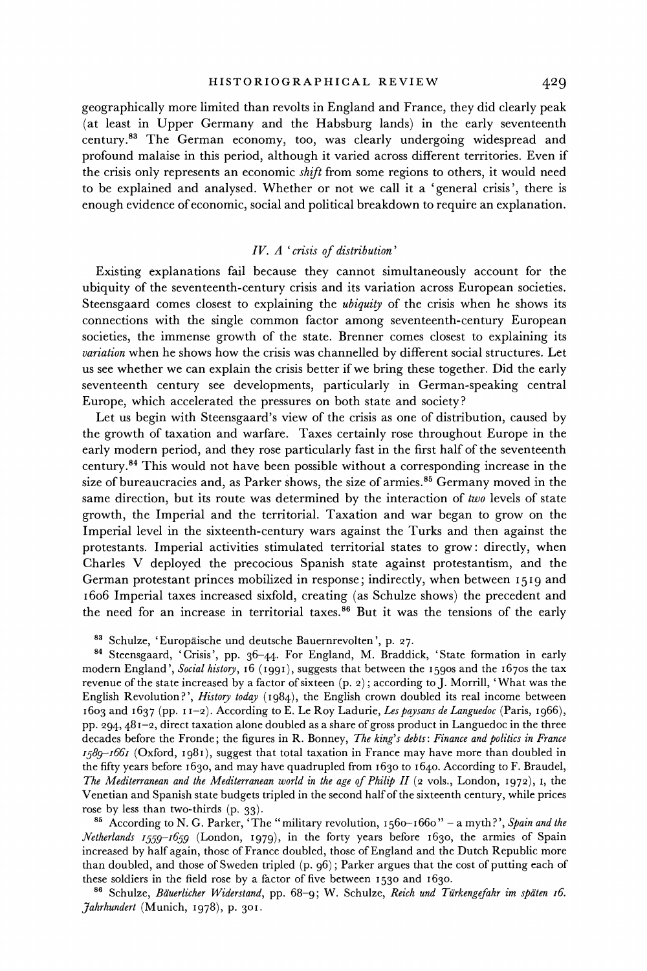#### HISTORIOGRAPHICAL REVIEW 429

geographically more limited than revolts in England and France, they did clearly peak (at least in Upper Germany and the Habsburg lands) in the early seventeenth century.83 The German economy, too, was clearly undergoing widespread and profound malaise in this period, although it varied across different territories. Even if the crisis only represents an economic *shift* from some regions to others, it would need to be explained and analysed. Whether or not we call it a 'general crisis', there is enough evidence of economic, social and political breakdown to require an explanation.

## *IV. A "crisis of distribution'*

Existing explanations fail because they cannot simultaneously account for the ubiquity of the seventeenth-century crisis and its variation across European societies. Steensgaard comes closest to explaining the *ubiquity* of the crisis when he shows its connections with the single common factor among seventeenth-century European societies, the immense growth of the state. Brenner comes closest to explaining its *variation* when he shows how the crisis was channelled by different social structures. Let us see whether we can explain the crisis better if we bring these together. Did the early seventeenth century see developments, particularly in German-speaking central Europe, which accelerated the pressures on both state and society?

Let us begin with Steensgaard's view of the crisis as one of distribution, caused by the growth of taxation and warfare. Taxes certainly rose throughout Europe in the early modern period, and they rose particularly fast in the first half of the seventeenth century.84 This would not have been possible without a corresponding increase in the size of bureaucracies and, as Parker shows, the size of armies.<sup>85</sup> Germany moved in the same direction, but its route was determined by the interaction of *two* levels of state growth, the Imperial and the territorial. Taxation and war began to grow on the Imperial level in the sixteenth-century wars against the Turks and then against the Protestants. Imperial activities stimulated territorial states to grow: directly, when Charles V deployed the precocious Spanish state against protestantism, and the German protestant princes mobilized in response; indirectly, when between 1519 and 1606 Imperial taxes increased sixfold, creating (as Schulze shows) the precedent and the need for an increase in territorial taxes.<sup>86</sup> But it was the tensions of the early

83 Schulze, 'Europäische und deutsche Bauernrevolten', p. 27.

84 Steensgaard, 'Crisis', pp. 36-44. For England, M. Braddick, 'State formation in early modern England', *Social history*, 16 (1991), suggests that between the 1590s and the 1670s the tax revenue of the state increased by a factor of sixteen  $(p, z)$ ; according to J. Morrill, 'What was the English Revolution?', *History today* (1984), the English crown doubled its real income between 1603 and 1637 (pp. 11-2). According to E. Le Roy Ladurie, Les paysans de Languedoc (Paris, 1966), pp. 294, 481-2, direct taxation alone doubled as a share of gross product in Languedoc in the three decades before the Fronde; the figures in R. Bonney, *The king's debts: Finance andpolitics in France 1589-1661* (Oxford, 1g81), suggest that total taxation in France may have more than doubled in the fifty years before 1630, and may have quadrupled from 1630 to 1640. According to F. Braudel, *The Mediterranean and the Mediterranean world in the age of Philip II (2 vols., London, 1972), 1, the* Venetian and Spanish state budgets tripled in the second half of the sixteenth century, while prices rose by less than two-thirds (p. 33).

85 According to N. G. Parker, 'The "military revolution, 1560-1660" - a myth?', *Spain and the Netherlands 1559-1659* (London, 1g7g), in the forty years before 1630, the armies of Spain increased by half again, those of France doubled, those of England and the Dutch Republic more than doubled, and those of Sweden tripled (p. 96) ; Parker argues that the cost of putting each of these soldiers in the field rose by a factor of five between 1530 and 1630.

86 Schulze, *Bäuerlicher Widerstand*, pp. 68-9; W. Schulze, *Reich und Türkengefahr im späten 16. Jahrhundert* (Munich, 1978), p. 301.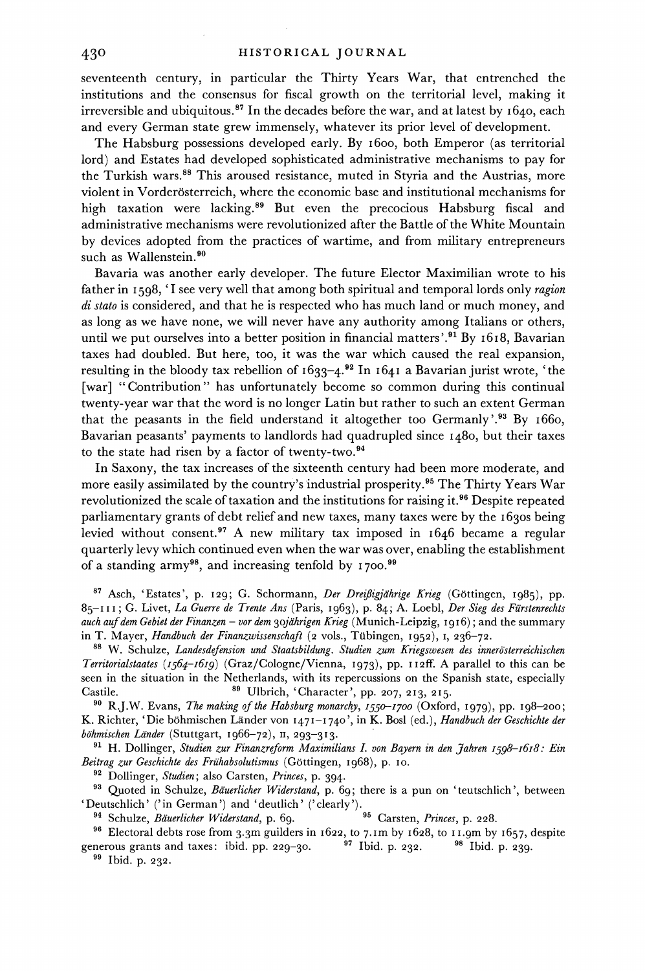seventeenth century, in particular the Thirty Years War, that entrenched the institutions and the consensus for fiscal growth on the territorial level, making it irreversible and ubiquitous.<sup>87</sup> In the decades before the war, and at latest by 1640, each and every German state grew immensely, whatever its prior level of development.

The Habsburg possessions developed early. By 1600, both Emperor (as territorial lord) and Estates had developed sophisticated administrative mechanisms to pay for the Turkish wars.<sup>88</sup> This aroused resistance, muted in Styria and the Austrias, more violent in Vorderosterreich, where the economic base and institutional mechanisms for high taxation were lacking.<sup>89</sup> But even the precocious Habsburg fiscal and administrative mechanisms were revolutionized after the Battle of the White Mountain by devices adopted from the practices of wartime, and from military entrepreneurs such as Wallenstein.<sup>90</sup>

Bavaria was another early developer. The future Elector Maximilian wrote to his father in 1598, 'I see very well that among both spiritual and temporal lords only *ragion*  **di** *stato* is considered, and that he is respected who has much land or much money, and as long as we have none, we will never have any authority among Italians or others, until we put ourselves into a better position in financial matters'.<sup>91</sup> By 1618, Bavarian taxes had doubled. But here, too, it was the war which caused the real expansion, resulting in the bloody tax rebellion of  $1633-4$ .<sup>92</sup> In  $1641$  a Bavarian jurist wrote, 'the [war] "Contribution" has unfortunately become so common during this continual twenty-year war that the word is no longer Latin but rather to such an extent German that the peasants in the field understand it altogether too Germanly'. $^{93}$  By 1660, Bavarian peasants' payments to landlords had quadrupled since 1480, but their taxes to the state had risen by a factor of twenty-two.<sup>94</sup>

In Saxony, the tax increases of the sixteenth century had been more moderate, and more easily assimilated by the country's industrial prosperity.<sup>95</sup> The Thirty Years War revolutionized the scale of taxation and the institutions for raising it.<sup>96</sup> Despite repeated parliamentary grants of debt relief and new taxes, many taxes were by the 1630s being levied without consent.<sup>97</sup> A new military tax imposed in  $1646$  became a regular quarterly levy which continued even when the war was over, enabling the establishment of a standing army<sup>98</sup>, and increasing tenfold by  $1700.^{99}$ 

<sup>87</sup> Asch, 'Estates', p. 129; G. Schormann, *Der Dreißigjährige Krieg* (Göttingen, 1985), pp. 85-1 I I ;G. Livet, *La Guerre de Trente Ans* (Paris, 1963), p. 84; A. Loebl, *Der Sieg des Furstenrechts auch auf dem Gebiet der Finanzen* -*vor dem 3ojahrigen Krieg* (Munich-Leipzig, 1916) ;and the summary in T. Mayer, *Handbuch der Finanzwissenschaft* (2 vols., Tiibingen, 1g52), I, 236-72.

88 W. Schulze, Landesdefension und Staatsbildung. Studien zum Kriegswesen des innerösterreichischen *Territorialstaates* (1564-1619) (Graz/Cologne/Vienna, 1g73), pp 112ff. A parallel to this can be seen in the situation in the Netherlands, with its repercussions on the Spanish state, especially Castile. <sup>89</sup> Ulbrich, 'Character', pp. 207, 213, 215.

<sup>90</sup> R.J.W. Evans, *The making of the Habsburg monarchy*,  $1550-1700$  (Oxford, 1979), pp. 198-200; K. Richter, 'Die bohmischen Lander von 1471-1740', in K. Bosl (ed.), *Handbuch der Geschichte der*  böhmischen Länder (Stuttgart, 1966-72), II, 293-313.

<sup>91</sup> H. Dollinger, *Studien zur Finanzreform Maximilians I. von Bayern in den Jahren 1598-1618: Ein Beitrag zur Geschichte des Fruhabsolutismus* (Gottingen, 1968), p. 10.

**<sup>92</sup>**Dollinger, *Studien;* also Carsten, *Princes,* p. 394.

**<sup>93</sup>**Quoted in Schulze, *Bauerlicher Widerstand,* p. 69; there is a pun on 'teutschlich', between 'Deutschlich' ('in German ') and 'deutlich ' ('clearly ') . 94 Schulze, *Bauerlicher Widerstand,* p. 69. 95 Carsten, *Princes,* p. 228.

<sup>96</sup> Electoral debts rose from 3.3m guilders in 1622, to 7.1m by 1628, to 11.9m by 1657, despite inerous grants and taxes: ibid. pp. 229–30. <sup>97</sup> Ibid. p. 232. <sup>98</sup> Ibid. p. 239. generous grants and taxes: ibid. pp. 229-30.

99 Ibid. p. 232.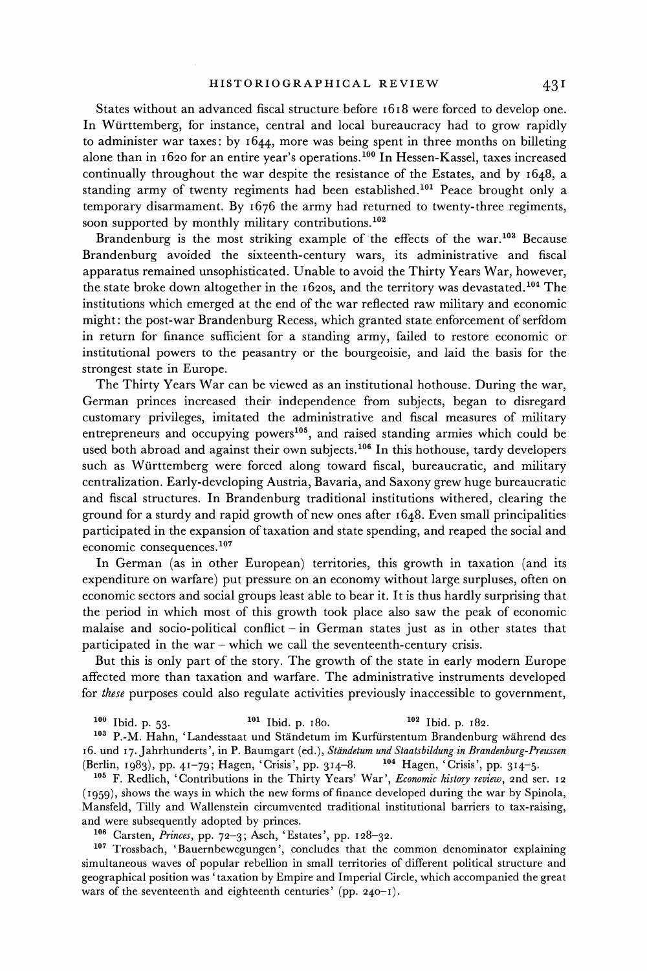States without an advanced fiscal structure before 1618 were forced to develop one. In Württemberg, for instance, central and local bureaucracy had to grow rapidly to administer war taxes: by 1644, more was being spent in three months on billeting alone than in 1620 for an entire year's operations.<sup>100</sup> In Hessen-Kassel, taxes increased continually throughout the war despite the resistance of the Estates, and by  $1648$ , a standing army of twenty regiments had been established.<sup>101</sup> Peace brought only a temporary disarmament. By  $1676$  the army had returned to twenty-three regiments, soon supported by monthly military contributions.<sup>102</sup>

Brandenburg is the most striking example of the effects of the war.<sup>103</sup> Because Brandenburg avoided the sixteenth-century wars, its administrative and fiscal apparatus remained unsophisticated. Unable to avoid the Thirty Years War, however, the state broke down altogether in the  $1620s$ , and the territory was devastated.<sup>104</sup> The institutions which emerged at the end of the war reflected raw military and economic might: the post-war Brandenburg Recess, which granted state enforcement of serfdom in return for finance sufficient for a standing army, failed to restore economic or institutional powers to the peasantry or the bourgeoisie, and laid the basis for the strongest state in Europe.

The Thirty Years War can be viewed as an institutional hothouse. During the war, German princes increased their independence from subjects, began to disregard customary privileges, imitated the administrative and fiscal measures of military entrepreneurs and occupying powers<sup>105</sup>, and raised standing armies which could be used both abroad and against their own subjects.<sup>106</sup> In this hothouse, tardy developers such as Württemberg were forced along toward fiscal, bureaucratic, and military centralization. Early-developing Austria, Bavaria, and Saxony grew huge bureaucratic and fiscal structures. In Brandenburg traditional institutions withered, clearing the ground for a sturdy and rapid growth of new ones after  $1648$ . Even small principalities participated in the expansion of taxation and state spending, and reaped the social and economic consequences.<sup>107</sup>

In German (as in other European) territories, this growth in taxation (and its expenditure on warfare) put pressure on an economy without large surpluses, often on economic sectors and social groups least able to bear it. It is thus hardly surprising that the period in which most of this growth took place also saw the peak of economic malaise and socio-political conflict - in German states just as in other states that participated in the war – which we call the seventeenth-century crisis.

But this is only part of the story. The growth of the state in early modern Europe affected more than taxation and warfare. The administrative instruments developed for these purposes could also regulate activities previously inaccessible to government,

<sup>103</sup> P.-M. Hahn, 'Landesstaat und Ständetum im Kurfürstentum Brandenburg während des 16. und 17. Jahrhunderts', in P. Baumgart (ed.), Ständetum und Staatsbildung in Brandenburg-Preussen (Berlin, 1983), pp. 41-79; Hagen, 'Crisis', pp. 314-8. 104 Hagen, 'Crisis', pp. 314-5.

<sup>105</sup> F. Redlich, 'Contributions in the Thirty Years' War', Economic history review, 2nd ser. 12 (1959), shows the ways in which the new forms of finance developed during the war by Spinola, Mansfeld, Tilly and Wallenstein circumvented traditional institutional barriers to tax-raising, and were subsequently adopted by princes.

<sup>106</sup> Carsten, *Princes*, pp. 72-3; Asch, 'Estates', pp. 128-32.

<sup>107</sup> Trossbach, 'Bauernbewegungen', concludes that the common denominator explaining simultaneous waves of popular rebellion in small territories of different political structure and geographical position was 'taxation by Empire and Imperial Circle, which accompanied the great wars of the seventeenth and eighteenth centuries' (pp.  $240 - 1$ ).

<sup>&</sup>lt;sup>101</sup> Ibid. p. 180. <sup>100</sup> Ibid. p. 53. <sup>102</sup> Ibid. p. 182.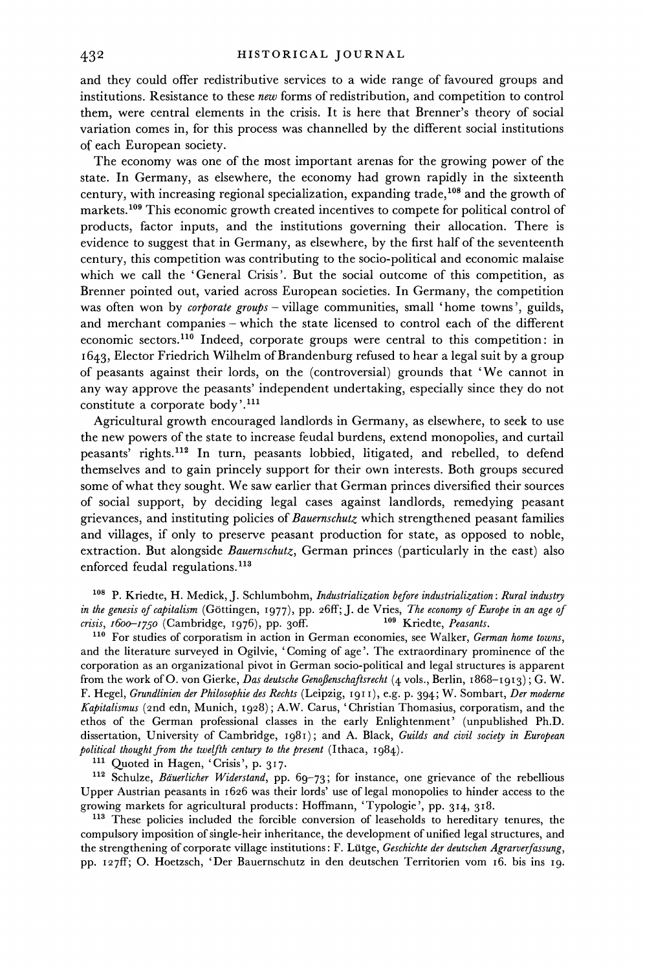and they could offer redistributive services to a wide range of favoured groups and institutions. Resistance to these *new* forms of redistribution, and competition to control them, were central elements in the crisis. It is here that Brenner's theory of social variation comes in, for this process was channelled by the different social institutions of each European society.

The economy was one of the most important arenas for the growing power of the state. In Germany, as elsewhere, the economy had grown rapidly in the sixteenth century, with increasing regional specialization, expanding trade,<sup>108</sup> and the growth of markets.<sup>109</sup> This economic growth created incentives to compete for political control of products, factor inputs, and the institutions governing their allocation. There is evidence to suggest that in Germany, as elsewhere, by the first half of the seventeenth century, this competition was contributing to the socio-political and economic malaise which we call the 'General Crisis'. But the social outcome of this competition, as Brenner pointed out, varied across European societies. In Germany, the competition was often won by *corporate groups* – village communities, small 'home towns', guilds, and merchant companies -which the state licensed to control each of the different economic sectors.<sup>110</sup> Indeed, corporate groups were central to this competition: in I 643, Elector Friedrich Wilhelm of Brandenburg refused to hear a legal suit by a group of peasants against their lords, on the (controversial) grounds that 'We cannot in any way approve the peasants' independent undertaking, especially since they do not constitute a corporate body **'.'I1** 

Agricultural growth encouraged landlords in Germany, as elsewhere, to seek to use the new powers of the state to increase feudal burdens, extend monopolies, and curtail peasants' rights.''' In turn, peasants lobbied, litigated, and rebelled, to defend themselves and to gain princely support for their own interests. Both groups secured some of what they sought. We saw earlier that German princes diversified their sources of social support, by deciding legal cases against landlords, remedying peasant grievances, and instituting policies of *Bauernschutz* which strengthened peasant families and villages, if only to preserve peasant production for state, as opposed to noble, extraction. But alongside *Bauernschutz,* German princes (particularly in the east) also enforced feudal regulations. $^{113}$ 

lo' P. Kriedte, H. Medick, J. Schlumbohm, *Industrialization before industrialization* : *Rural industry in the genesis of capitalism* (Gottingen, 1g77), pp. 26ff; J. de Vries, *The economy of Europe in an age of crisis, 1600-1750* (Cambridge, 1976), pp. 30ff.

<sup>110</sup> For studies of corporatism in action in German economies, see Walker, *German home towns*, and the literature surveyed in Ogilvie, 'Coming of age'. The extraordinary prominence of the corporation as an organizational pivot in German socio-political and legal structures is apparent from the work of O. von Gierke, Das deutsche Genoßenschaftsrecht (4 vols., Berlin, 1868-1913); G. W. F. Hegel, *Grundlinien der Philosophie des Rechts* (Leipzig, 191 I), e.g. p. 394; W. Sombart, *Der moderne*  Kapitalismus (2nd edn, Munich, 1928); A.W. Carus, 'Christian Thomasius, corporatism, and the ethos of the German professional classes in the early Enlightenment' (unpublished Ph.D. dissertation, University of Cambridge, 1981); and A. Black, *Guilds and civil society in European political thought from the twelfth century to the present* (Ithaca, 1984).<br><sup>111</sup> Quoted in Hagen, 'Crisis', p. 317.

Schulze, *Bauerlicher Widerstand,* pp. 69-73; for instance, one grievance of the rebellious Upper Austrian peasants in 1626 was their lords' use of legal monopolies to hinder access to the growing markets for agricultural products : Hoffmann, 'Typologie', pp. 3 14, 3 18.

'I3 These policies included the forcible conversion of leaseholds to hereditary tenures, the compulsory imposition of single-heir inheritance, the development of unified legal structures, and the strengthening of corporate village institutions: F. Liitge, *Geschichte der deutschen Agrarverfassung,*  pp. 127ff; 0. Hoetzsch, 'Der Bauernschutz in den deutschen Territorien vom 16. bis ins 19.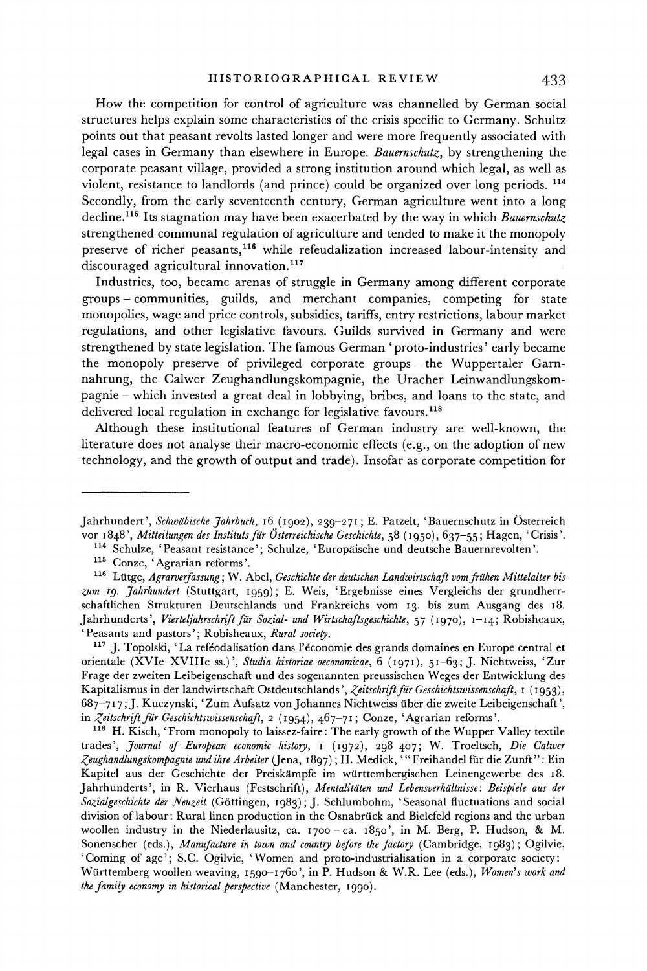How the competition for control of agriculture was channelled by German social structures helps explain some characteristics of the crisis specific to Germany. Schultz points out that peasant revolts lasted longer and were more frequently associated with legal cases in Germany than elsewhere in Europe. *Bauernschutz,* by strengthening the corporate peasant village, provided a strong institution around which legal, as well as violent, resistance to landlords (and prince) could be organized over long periods. **"4**  Secondly, from the early seventeenth century, German agriculture went into a long decline.'15 Its stagnation may have been exacerbated by the way in which *Bauernschutz*  strengthened communal regulation of agriculture and tended to make it the monopoly preserve of richer peasants,<sup>116</sup> while refeudalization increased labour-intensity and discouraged agricultural innovation.<sup>117</sup>

Industries, too, became arenas of struggle in Germany among different corporate groups- communities, guilds, and merchant companies, competing for state monopolies, wage and price controls, subsidies, tariffs, entry restrictions, labour market regulations, and other legislative favours. Guilds survived in Germany and were strengthened by state legislation. The famous German 'proto-industries' early became the monopoly preserve of privileged corporate groups- the Wuppertaler Garnnahrung, the Calwer Zeughandlungskompagnie, the Uracher Leinwandlungskompagnie -which invested a great deal in lobbying, bribes, and loans to the state, and delivered local regulation in exchange for legislative favours.<sup>118</sup>

Although these institutional features of German industry are well-known, the literature does not analyse their macro-economic effects (e.g., on the adoption of new technology, and the growth of output and trade). Insofar as corporate competition for

<sup>117</sup> J. Topolski, 'La reféodalisation dans l'économie des grands domaines en Europe central et orientale (XVIe-XVIIIe ss.) ', *Studia historiae oeconomicae,* 6 (1g71), 51-63; J. Nichtweiss, 'Zur Frage der zweiten Leibeigenschaft und des sogenannten preussischen Weges der Entwicklung des Kapitalismus in der landwirtschaft Ostdeutschlands ', *<eitschrftfur Geschichtswissenschaft,* I (I 953), 687-71 7; J. Kuczynski, 'Zum Aufsatz von Johannes Nichtweiss uber die zweite Leibeigenschaft ', in *Zeitschrift für Geschichtswissenschaft*, 2 (1954), 467-71; Conze, 'Agrarian reforms'.

 $118$  H. Kisch, 'From monopoly to laissez-faire: The early growth of the Wupper Valley textile trades', *Journal of European economic history,* I (1g72), 298-407; W. Troeltsch, *Die Calwer <eughandlungskompagnie und ihre Arbeiter* (Jena, 1897);H. Medick, "'Freihandel fur die Zunft" : Ein Kapitel aus der Geschichte der Preiskampfe im wiirttembergischen Leinengewerbe des 18. Jahrhunderts', in R. Vierhaus (Festschrift), Mentalitäten und Lebensverhältnisse: Beispiele aus der *Sozialgeschichte der Neuzeit* (Gottingen, 1983) ;J. Schlumbohm, 'Seasonal fluctuations and social division of labour: Rural linen production in the Osnabruck and Bielefeld regions and the urban woollen industry in the Niederlausitz, ca. 1700 - ca. 1850', in M. Berg, P. Hudson, & M. Sonenscher (eds.), *Manufacture in town and country before the factory* (Cambridge, 1983); Ogilvie, 'Coming of age'; S.C. Ogilvie, 'Women and proto-industrialisation in a corporate society: Wurttemberg woollen weaving, 1590-1760', in P. Hudson & W.R. Lee (eds.), *Women's work and the famill, economy in historical perspective* (Manchester, 1990).

Jahrhundert', *Schwäbische Jahrbuch*, 16 (1902), 239-271; E. Patzelt, 'Bauernschutz in Österreich vor 1848', *Mitteilungen des Instituts für Österreichische Geschichte*, 58 (1950), 637-55; Hagen, 'Crisis'.

Schulze, 'Peasant resistance '; Schulze, 'Europaische und deutsche Bauernrevolten '.

<sup>&</sup>lt;sup>115</sup> Conze, 'Agrarian reforms'.

**<sup>&#</sup>x27;la** Liitge, *Agrarvefassung* ;W. Abel, *Geschichte der deutschen Landwirtschaft vomfruhen Mittelalter bis zum 19. Jahrhundert* (Stuttgart, 1959); E. Weis, 'Ergebnisse eines Vergleichs der grundherrschaftlichen Strukturen Deutschlands und Frankreichs vom 13. bis zum Ausgang des 18. Jahrhunderts', Vierteljahrschrift für Sozial- und Wirtschaftsgeschichte, 57 (1970), 1-14; Robisheaux, 'Peasants and pastors'; Robisheaux, *Rural society.*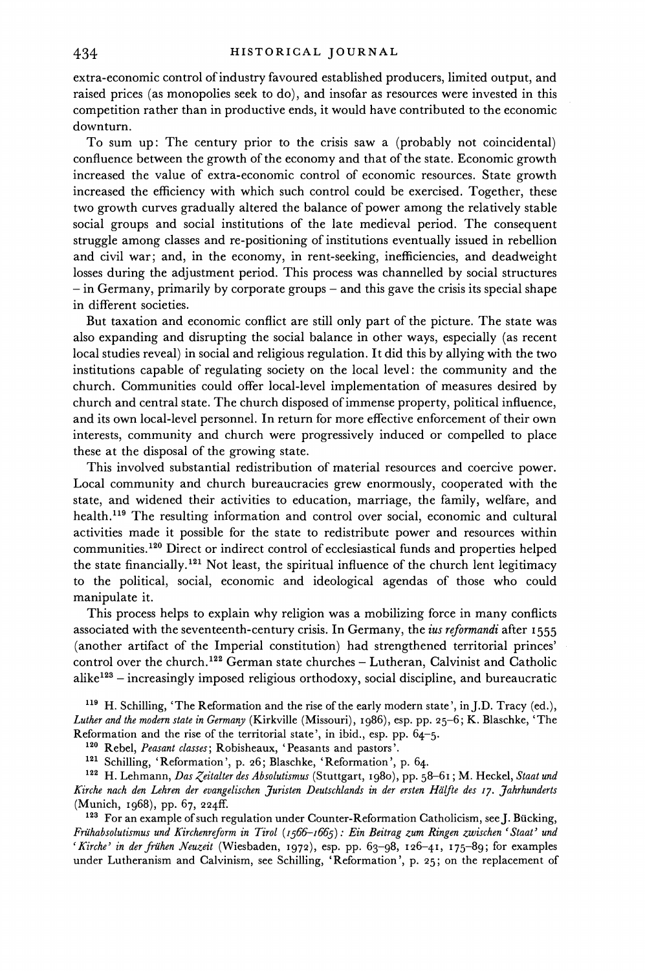extra-economic control of industry favoured established producers, limited output, and raised prices (as monopolies seek to do), and insofar as resources were invested in this competition rather than in productive ends, it would have contributed to the economic downturn.

To sum up: The century prior to the crisis saw a (probably not coincidental) confluence between the growth of the economy and that of the state. Economic growth increased the value of extra-economic control of economic resources. State growth increased the efficiency with which such control could be exercised. Together, these two growth curves gradually altered the balance of power among the relatively stable social groups and social institutions of the late medieval period. The consequent struggle among classes and re-positioning of institutions eventually issued in rebellion and civil war; and, in the economy, in rent-seeking, inefficiencies, and deadweight losses during the adjustment period. This process was channelled by social structures  $-$  in Germany, primarily by corporate groups  $-$  and this gave the crisis its special shape in different societies.

But taxation and economic conflict are still only part of the picture. The state was also expanding and disrupting the social balance in other ways, especially (as recent local studies reveal) in social and religious regulation. It did this by allying with the two institutions capable of regulating society on the local level: the community and the church. Communities could offer local-level implementation of measures desired by church and central state. The church disposed of immense property, political influence, and its own local-level personnel. In return for more effective enforcement of their own interests, community and church were progressively induced or compelled to place these at the disposal of the growing state.

This involved substantial redistribution of material resources and coercive power. Local community and church bureaucracies grew enormously, cooperated with the state, and widened their activities to education, marriage, the family, welfare, and health.<sup>119</sup> The resulting information and control over social, economic and cultural activities made it possible for the state to redistribute power and resources within communities.<sup>120</sup> Direct or indirect control of ecclesiastical funds and properties helped the state financially.<sup>121</sup> Not least, the spiritual influence of the church lent legitimacy to the political, social, economic and ideological agendas of those who could manipulate it.

This process helps to explain why religion was a mobilizing force in many conflicts associated with the seventeenth-century crisis. In Germany, the *ius reformandi* after 1555 (another artifact of the Imperial constitution) had strengthened territorial princes' control over the church.<sup>122</sup> German state churches  $-$  Lutheran, Calvinist and Catholic alike<sup>123</sup> - increasingly imposed religious orthodoxy, social discipline, and bureaucratic

<sup>119</sup> H. Schilling, 'The Reformation and the rise of the early modern state', in J.D. Tracy (ed.), *Luther and the modern state in Germany* (Kirkville (Missouri), *1986),*esp pp. *25-6;* K. Blaschke, 'The Reformation and the rise of the territorial state', in ibid., esp. pp. *64-5.* 

<sup>120</sup> Rebel, *Peasant classes*; Robisheaux, 'Peasants and pastors'.

<sup>121</sup> Schilling, 'Reformation', p. 26; Blaschke, 'Reformation', p. 64.

122 H. Lehmann, *Das Zeitalter des Absolutismus* (Stuttgart, 1980), pp. 58-61; M. Heckel, *Staat und Ktrche nach den Lehren der euangelischen Juristen Deutschlands in der ersten Haljte des* **17.** *3ahrhunderts*  (Munich, *1968),*pp. *67, 224ff.* 

<sup>123</sup> For an example of such regulation under Counter-Reformation Catholicism, see J. Bücking, *Fruhabsolutismus und Kirchenreform in Tirol (15661665)* :*Ein Beitrag turn Ringen ~wischen 'Staat' und*  'Kirche' in der frühen Neuzeit (Wiesbaden, 1972), esp. pp. 63-98, 126-41, 175-89; for examples under Lutheranism and Calvinism, see Schilling, 'Reformation', p. *25;* on the replacement of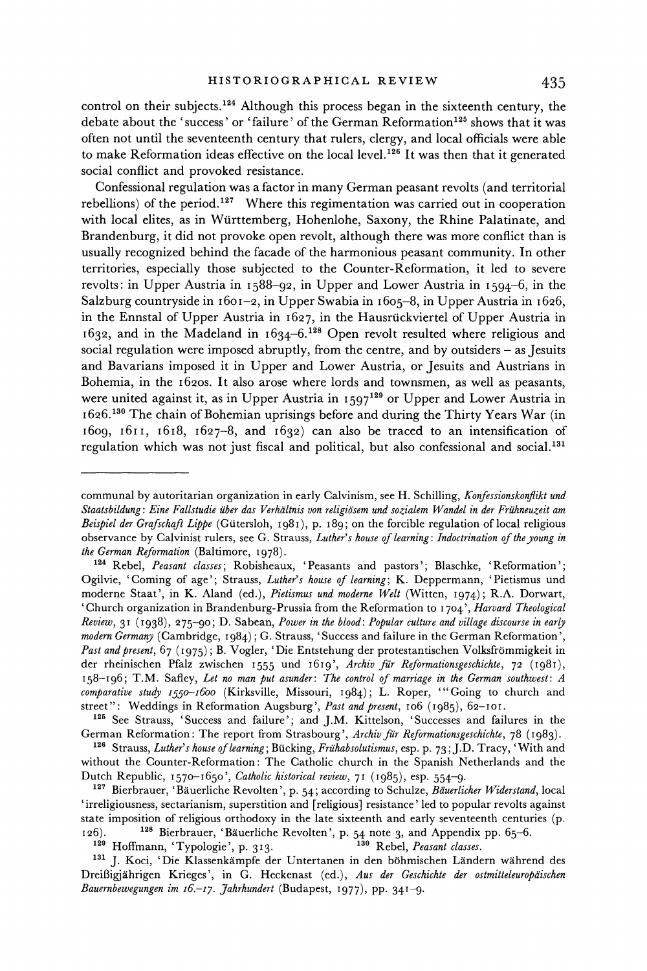control on their subjects.<sup>124</sup> Although this process began in the sixteenth century, the debate about the 'success' or 'failure' of the German Reformation<sup>125</sup> shows that it was often not until the seventeenth century that rulers, clergy, and local officials were able to make Reformation ideas effective on the local level.<sup>126</sup> It was then that it generated social conflict and provoked resistance.

Confessional regulation was a factor in many German peasant revolts (and territorial rebellions) of the period.<sup>127</sup> Where this regimentation was carried out in cooperation with local elites, as in Wurttemberg, Hohenlohe, Saxony, the Rhine Palatinate, and Brandenburg, it did not provoke open revolt, although there was more conflict than is usually recognized behind the facade of the harmonious peasant community. In other territories, especially those subjected to the Counter-Reformation, it led to severe revolts: in Upper Austria in 1588-92, in Upper and Lower Austria in 1594-6, in the Salzburg countryside in 1601-2, in Upper Swabia in 1605-8, in Upper Austria in 1626, in the Ennstal of Upper Austria in 1627, in the Hausruckviertel of Upper Austria in 1632, and in the Madeland in 1634-6.<sup>128</sup> Open revolt resulted where religious and social regulation were imposed abruptly, from the centre, and by outsiders  $-$  as Jesuits and Bavarians imposed it in Upper and Lower Austria, or Jesuits and Austrians in Bohemia, in the 1620s. It also arose where lords and townsmen, as well as peasants, were united against it, as in Upper Austria in  $1597^{129}$  or Upper and Lower Austria in  $1626.^{130}$  The chain of Bohemian uprisings before and during the Thirty Years War (in  $1609$ ,  $1611$ ,  $1618$ ,  $1627-8$ , and  $1632$ ) can also be traced to an intensification of regulation which was not just fiscal and political, but also confessional and social.<sup>131</sup>

communal by autoritarian organization in early Calvinism, see H. Schilling, Konfessionskonflikt und *Staatsbildung* : *Eine Fallstudie uber das Verhaltnis uon religiosem und sozialem Wandel in der Fruhneuzeit am Beispiel der Grafschaft Lippe* (Gütersloh, 1981), p. 189; on the forcible regulation of local religious observance by Calvinist rulers, see G. Strauss, *Luther's house of learning: Indoctrination of the young in* the German Reformation (Baltimore, 1978).

Rebel, *Peasant classes;* Robisheaux, 'Peasants and pastors'; Blaschke, 'Reformation'; Ogilvie, 'Coming of age'; Strauss, *Luther's house of learning;* K. Deppermann, 'Pietismus und moderne Staat', in K. Aland (ed.), *Pietismus und moderne Welt* (Witten, 1974); R.A. Dorwart, 'Church organization in Brandenburg-Prussia from the Reformation to I 704', *Haruard Theological Review,* 31 (1938), 275-90; D. Sabean, *Power in the blood: Popular culture and village discourse in early*  modern Germany (Cambridge, 1984); G. Strauss, 'Success and failure in the German Reformation', Past and present, 67 (1975); B. Vogler, 'Die Entstehung der protestantischen Volksfrömmigkeit in der rheinischen Pfalz zwischen 1555 und 1619', *Archiv fur Reformationsgeschichte,* 72 (1981), 158-196; T.M. Safley, *Let no man put asunder: The control of marriage in the German southwest: A comparative study 1jj~160o*(Kirksville, Missouri, 1984); L. Roper, "'Going to church and street": Weddings in Reformation Augsburg', Past and present, 106 (1985), 62-101.

<sup>125</sup> See Strauss, 'Success and failure'; and J.M. Kittelson, 'Successes and failures in the German Reformation: The report from Strasbourg', Archiv für Reformationsgeschichte, 78 (1983).

Strauss, *Luther's house oflearning;* Biicking, *Fruhabsolutismus,* esp. p. 73; J.D. Tracy, 'With and without the Counter-Reformation: The Catholic church in the Spanish Netherlands and the Dutch Republic, 1570-1650', *Catholic historical review*, 71 (1985), esp. 554-9.

<sup>12&#</sup>x27; Bierbrauer, 'Bauerliche Revolten', p. 54; according to Schulze, *Bauerlicher Widerstand,* local 'irreligiousness, sectarianism, superstition and [religious] resistance' led to popular revolts against state imposition of religious orthodoxy in the late sixteenth and early seventeenth centuries (p.

<sup>126). &</sup>lt;sup>128</sup> Bierbrauer, 'Bäuerliche Revolten', p. 54 note 3, and Appendix pp. 65-6.<br><sup>129</sup> Hoffmann, 'Typologie', p. 313.<br><sup>130</sup> Rebel, *Peasant classes*. <sup>129</sup> Hoffmann, 'Typologie', p. 313.

<sup>&</sup>lt;sup>131</sup> J. Koci, 'Die Klassenkämpfe der Untertanen in den böhmischen Ländern während des Dreißigjährigen Krieges', in G. Heckenast (ed.), Aus der Geschichte der ostmitteleuropäischen Bauernbewegungen im 16.-17. Jahrhundert (Budapest, 1977), pp. 341-9.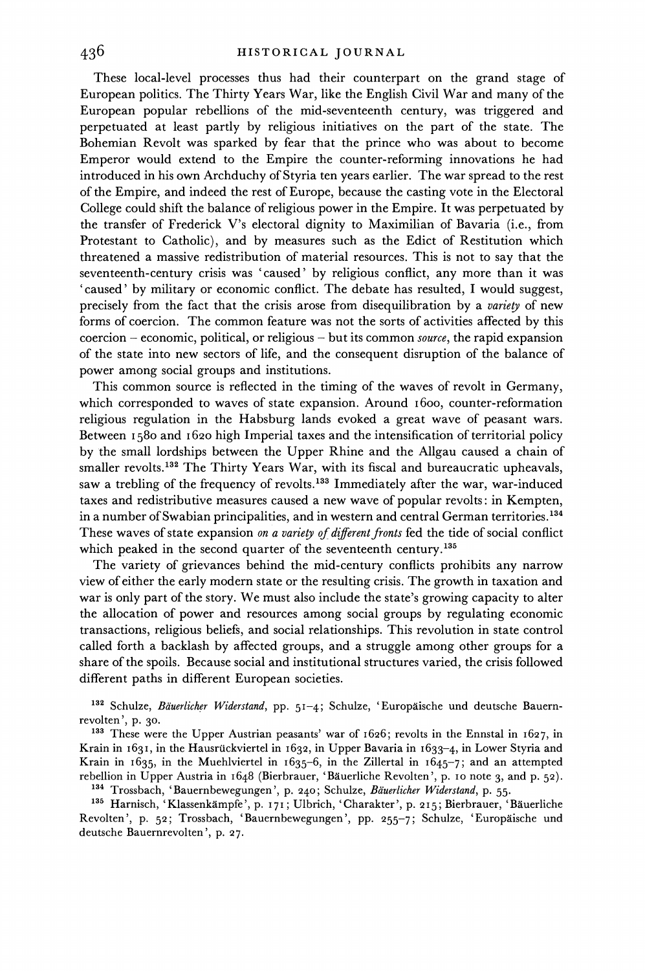These local-level processes thus had their counterpart on the grand stage of European politics. The Thirty Years War, like the English Civil War and many of the European popular rebellions of the mid-seventeenth century, was triggered and perpetuated at least partly by religious initiatives on the part of the state. The Bohemian Revolt was sparked by fear that the prince who was about to become Emperor would extend to the Empire the counter-reforming innovations he had introduced in his own Archduchy of Styria ten years earlier. The war spread to the rest of the Empire, and indeed the rest of Europe, because the casting vote in the Electoral College could shift the balance of religious power in the Empire. It was perpetuated by the transfer of Frederick V's electoral dignity to Maximilian of Bavaria (i.e., from Protestant to Catholic), and by measures such as the Edict of Restitution which threatened a massive redistribution of material resources. This is not to say that the seventeenth-century crisis was 'caused' by religious conflict, any more than it was 'caused' by military or economic conflict. The debate has resulted, I would suggest, precisely from the fact that the crisis arose from disequilibration by a *variety* of new forms of coercion. The common feature was not the sorts of activities affected by this coercion -economic, political, or religious -but its common *source,* the rapid expansion of the state into new sectors of life, and the consequent disruption of the balance of power among social groups and institutions.

This common source is reflected in the timing of the waves of revolt in Germany, which corresponded to waves of state expansion. Around 1600, counter-reformation religious regulation in the Habsburg lands evoked a great wave of peasant wars. Between I 580 and 1620 high Imperial taxes and the intensification of territorial policy by the small lordships between the Upper Rhine and the Allgau caused a chain of smaller revolts.132 The Thirty Years War, with its fiscal and bureaucratic upheavals, saw a trebling of the frequency of revolts.<sup>133</sup> Immediately after the war, war-induced taxes and redistributive measures caused a new wave of popular revolts: in Kempten, in a number of Swabian principalities, and in western and central German territories. $^{134}$ These waves of state expansion *on a variety of different fronts* fed the tide of social conflict which peaked in the second quarter of the seventeenth century.<sup>135</sup>

The variety of grievances behind the mid-century conflicts prohibits any narrow view of either the early modern state or the resulting crisis. The growth in taxation and war is only part of the story. We must also include the state's growing capacity to alter the allocation of power and resources among social groups by regulating economic transactions, religious beliefs, and social relationships. This revolution in state control called forth a backlash by affected groups, and a struggle among other groups for a share of the spoils. Because social and institutional structures varied, the crisis followed different paths in different European societies.

13' Schulze, *Bauerlicher Widerstand,* pp. 51-4; Schulze, 'Europaische und deutsche Bauernrevolten', p. 30.

133 These were the Upper Austrian peasants' war of 1626; revolts in the Ennstal in 1627, in Krain in 1631, in the Hausriickviertel in 1632, in Upper Bavaria in 1633-4, in Lower Styria and Krain in 1635, in the Muehlviertel in 1635-6, in the Zillertal in  $1645-7$ ; and an attempted rebellion in Upper Austria in 1648 (Bierbrauer, 'Bäuerliche Revolten', p. 10 note 3, and p. 52).

134 Trossbach, 'Bauernbewegungen', p. 240; Schulze, *Bauerlicher Widerstand,* p. 55.

<sup>135</sup> Harnisch, 'Klassenkämpfe', p. 171; Ulbrich, 'Charakter', p. 215; Bierbrauer, 'Bäuerliche Revolten', p. 52; Trossbach, 'Bauernbewegungen', pp. 255-7; Schulze, 'Europaische und deutsche Bauernrevolten', p. 27.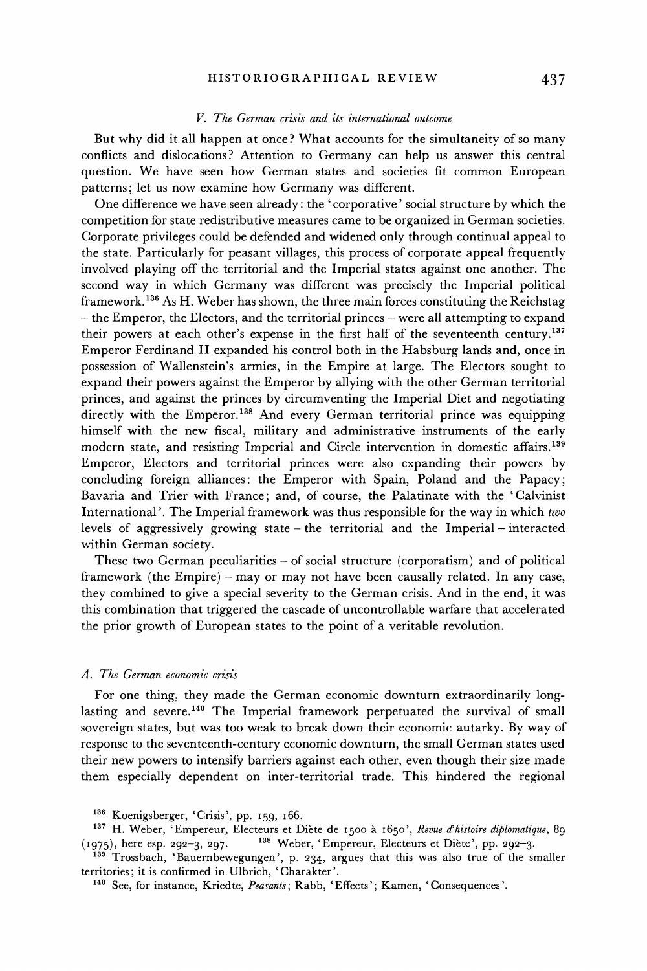#### HISTORIOGRAPHICAL REVIEW 437

#### *V. The German crisis and its international outcome*

But why did it all happen at once? What accounts for the simultaneity of so many conflicts and dislocations? Attention to Germany can help us answer this central question. We have seen how German states and societies fit common European patterns; let us now examine how Germany was different.

One difference we have seen already: the 'corporative' social structure by which the competition for state redistributive measures came to be organized in German societies. Corporate privileges could be defended and widened only through continual appeal to the state. Particularly for peasant villages, this process of corporate appeal frequently involved playing off the territorial and the Imperial states against one another. The second way in which Germany was different was precisely the Imperial political framework.<sup>136</sup> As H. Weber has shown, the three main forces constituting the Reichstag - the Emperor, the Electors, and the territorial princes - were all attempting to expand their powers at each other's expense in the first half of the seventeenth century.137 Emperor Ferdinand I1 expanded his control both in the Habsburg lands and, once in possession of Wallenstein's armies, in the Empire at large. The Electors sought to expand their powers against the Emperor by allying with the other German territorial princes, and against the princes by circumventing the Imperial Diet and negotiating directly with the Emperor.<sup>138</sup> And every German territorial prince was equipping himself with the new fiscal, military and administrative instruments of the early modern state, and resisting Imperial and Circle intervention in domestic affairs.139 Emperor, Electors and territorial princes were also expanding their powers by concluding foreign alliances: the Emperor with Spain, Poland and the Papacy; Bavaria and Trier with France; and, of course, the Palatinate with the 'Calvinist International'. The Imperial framework was thus responsible for the way in which *two*  levels of aggressively growing state  $-$  the territorial and the Imperial  $-$  interacted within German society.

These two German peculiarities  $-$  of social structure (corporatism) and of political framework (the Empire) – may or may not have been causally related. In any case, they combined to give a special severity to the German crisis. And in the end, it was this combination that triggered the cascade of uncontrollable warfare that accelerated the prior growth of European states to the point of a veritable revolution.

## *A. The German economic crisis*

For one thing, they made the German economic downturn extraordinarily longlasting and severe.140 The Imperial framework perpetuated the survival of small sovereign states, but was too weak to break down their economic autarky. By way of response to the seventeenth-century economic downturn, the small German states used their new powers to intensify barriers against each other, even though their size made them especially dependent on inter-territorial trade. This hindered the regional

<sup>136</sup> Koenigsberger, 'Crisis', pp. 159, 166.

<sup>13&#</sup>x27; H. Weber, 'Empereur, Electeurs et Diete de r5oo a 1650') *Revue Bhistoire diplomatiyue,* 89 (1975), here esp. 292-3, 297. 138 Weber, 'Empereur, Electeurs et Diète', pp. 292-3.

<sup>&</sup>lt;sup>139</sup> Trossbach, 'Bauernbewegungen', p. 234, argues that this was also true of the smaller territories; it is confirmed in Ulbrich, 'Charakter'.

<sup>&</sup>lt;sup>140</sup> See, for instance, Kriedte, *Peasants*; Rabb, 'Effects'; Kamen, 'Consequences'.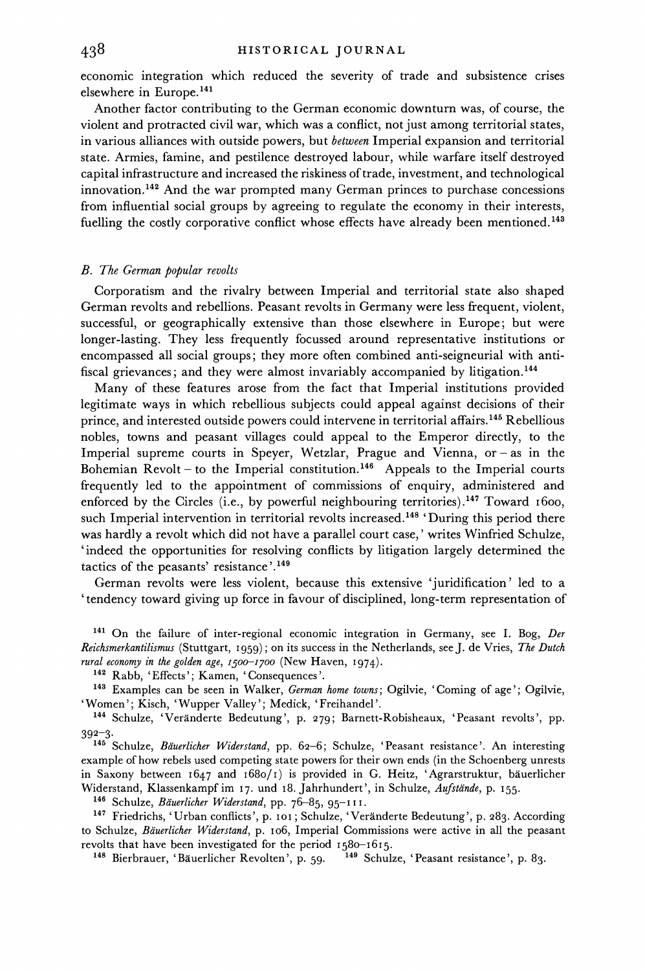economic integration which reduced the severity of trade and subsistence crises elsewhere in Europe.141

Another factor contributing to the German economic downturn was, of course, the violent and protracted civil war, which was a conflict, not just among territorial states, in various alliances with outside powers, but *between* Imperial expansion and territorial state. Armies, famine, and pestilence destroyed labour, while warfare itself destroyed capital infrastructure and increased the riskiness of trade, investment, and technological innovation.<sup>142</sup> And the war prompted many German princes to purchase concessions from influential social groups by agreeing to regulate the economy in their interests, fuelling the costly corporative conflict whose effects have already been mentioned.143

#### *B. The German popular revolts*

Corporatism and the rivalry between Imperial and territorial state also shaped German revolts and rebellions. Peasant revolts in Germany were less frequent, violent, successful, or geographically extensive than those elsewhere in Europe; but were longer-lasting. They less frequently focussed around representative institutions or encompassed all social groups; they more often combined anti-seigneurial with antifiscal grievances; and they were almost invariably accompanied by litigation.<sup>144</sup>

Many of these features arose from the fact that Imperial institutions provided legitimate ways in which rebellious subjects could appeal against decisions of their prince, and interested outside powers could intervene in territorial affairs.145 Rebellious nobles, towns and peasant villages could appeal to the Emperor directly, to the Imperial supreme courts in Speyer, Wetzlar, Prague and Vienna,  $or - as$  in the Bohemian Revolt - to the Imperial constitution.<sup>146</sup> Appeals to the Imperial courts frequently led to the appointment of commissions of enquiry, administered and enforced by the Circles (i.e., by powerful neighbouring territories).<sup>147</sup> Toward 1600, such Imperial intervention in territorial revolts increased.148 'During this period there was hardly a revolt which did not have a parallel court case, ' writes Winfried Schulze, 'indeed the opportunities for resolving conflicts by litigation largely determined the tactics of the peasants' resistance'.14'

German revolts were less violent, because this extensive 'juridification' led to a 'tendency toward giving up force in favour of disciplined, long-term representation of

141 On the failure of inter-regional economic integration in Germany, see I. Bog, *Der Reichsmerkantilismus* (Stuttgart, 1959) ; on its success in the Netherlands, see J. de Vries, *The Dutch rural economy in the golden age,* **15oo-1700** (New Haven, 1974).

<sup>142</sup> Rabb, 'Effects'; Kamen, 'Consequences'.

143 Examples can be seen in Walker, *German home towns;* Ogilvie, 'Coming of age'; Ogilvie, 'Women'; Kisch, 'Wupper Valley '; Medick, 'Freihandel '.

144 Schulze, 'Veranderte Bedeutung', p. 279; Barnett-Robisheaux, 'Peasant revolts', pp.

392-3. 145 Schulze, *Bauerlicher Widerstand,* pp. 62-6; Schulze, 'Peasant resistance'. An interesting example of how rebels used competing state powers for their own ends (in the Schoenberg unrests in Saxony between  $1647$  and  $1680/I$ ) is provided in G. Heitz, 'Agrarstruktur, bäuerlicher Widerstand, Klassenkampf im 17. und 18. Jahrhundert', in Schulze, Aufstände, p. 155.

14' Schulze, *Bauerlicher Widerstand,* pp. 76-85, 95-11 1.

<sup>147</sup> Friedrichs, 'Urban conflicts', p. 101; Schulze, 'Veränderte Bedeutung', p. 283. According to Schulze, *Bauerlicher Widerstand,* p. 106, Imperial Commissions were active in all the peasant revolts that have been investigated for the period  $1580-1615$ .<br><sup>148</sup> Bierbrauer, 'Bäuerlicher Revolten', p. 59. <sup>149</sup> Schulze, 'Peasant resistance', p. 83.

<sup>148</sup> Bierbrauer, 'Bäuerlicher Revolten', p. 59.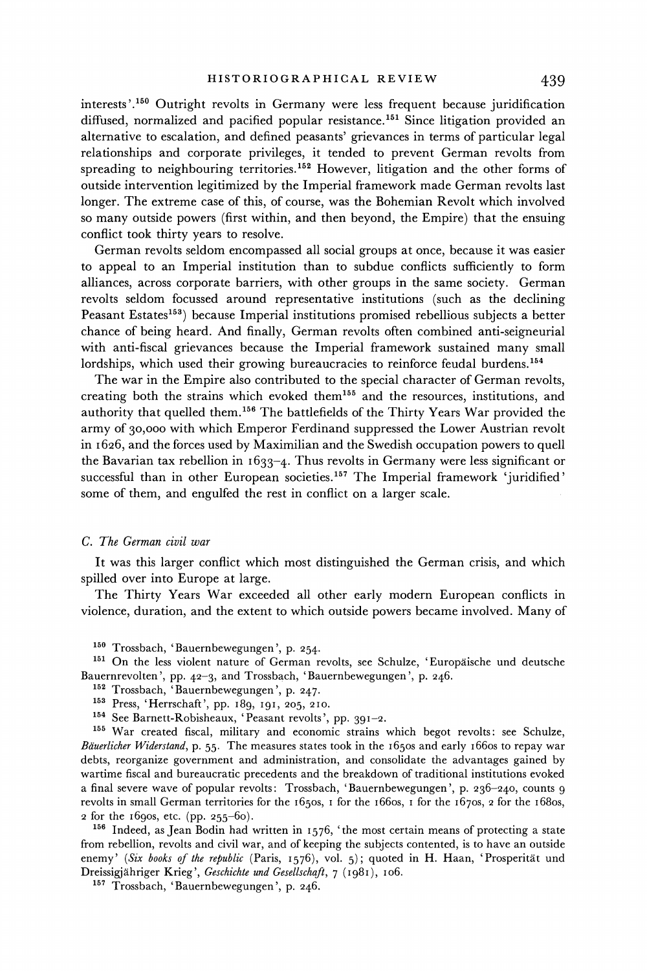interests'.150 Outright revolts in Germany were less frequent because juridification diffused, normalized and pacified popular resistance.<sup>151</sup> Since litigation provided an alternative to escalation, and defined peasants' grievances in terms of particular legal relationships and corporate privileges, it tended to prevent German revolts from spreading to neighbouring territories.<sup>152</sup> However, litigation and the other forms of outside intervention legitimized by the Imperial framework made German revolts last longer. The extreme case of this, of course, was the Bohemian Revolt which involved so many outside powers (first within, and then beyond, the Empire) that the ensuing conflict took thirty years to resolve.

German revolts seldom encompassed all social groups at once, because it was easier to appeal to an Imperial institution than to subdue conflicts sufficiently to form alliances, across corporate barriers, with other groups in the same society. German revolts seldom focussed around representative institutions (such as the declining Peasant Estates<sup>153</sup>) because Imperial institutions promised rebellious subjects a better chance of being heard. And finally, German revolts often combined anti-seigneurial with anti-fiscal grievances because the Imperial framework sustained many small lordships, which used their growing bureaucracies to reinforce feudal burdens.<sup>154</sup>

The war in the Empire also contributed to the special character of German revolts, creating both the strains which evoked them155 and the resources, institutions, and authority that quelled them.<sup>156</sup> The battlefields of the Thirty Years War provided the army of 30,000 with which Emperor Ferdinand suppressed the Lower Austrian revolt in 1626, and the forces used by Maximilian and the Swedish occupation powers to quell the Bavarian tax rebellion in  $1633-4$ . Thus revolts in Germany were less significant or successful than in other European societies.<sup>157</sup> The Imperial framework 'juridified' some of them, and engulfed the rest in conflict on a larger scale.

### *C. The German* **civil** *war*

It was this larger conflict which most distinguished the German crisis, and which spilled over into Europe at large.

The Thirty Years War exceeded all other early modern European conflicts in violence, duration, and the extent to which outside powers became involved. Many of

150 Trossbach, 'Bauernbewegungen', p. 254.

<sup>151</sup> On the less violent nature of German revolts, see Schulze, 'Europäische und deutsche Bauernrevolten', pp. 42-3, and Trossbach, 'Bauernbewegungen', p. 246.

- <sup>152</sup> Trossbach, 'Bauernbewegungen', p. 247.
- '53 Press, 'Herrschaft', pp. 189, 191, 205, 210.
- 154 See Barnett-Robisheaux, 'Peasant revolts', pp. 391-2.

155 War created fiscal, military and economic strains which begot revolts: see Schulze, *Bauerlicher Widerstand,* p. 55. The measures states took in the 1650s and early 1660s to repay war debts, reorganize government and administration, and consolidate the advantages gained by wartime fiscal and bureaucratic precedents and the breakdown of traditional institutions evoked a final severe wave of popular revolts: Trossbach, 'Bauernbewegungen', p. 236-240, counts g revolts in small German territories for the 16505, I for the 166os, I for the 16705, 2 for the 168os, 2 for the  $1690s$ , etc. (pp.  $255-60$ ).

 $156$  Indeed, as Jean Bodin had written in 1576, 'the most certain means of protecting a state from rebellion, revolts and civil war, and of keeping the subjects contented, is to have an outside enemy' (Six *books of the republic* (Paris, 1576), vol. 5); quoted in H. Haan, 'Prosperitat und Dreissigjahriger Krieg ', *Geschichte und Gesellschaft, 7* (1981), I 06.

<sup>157</sup> Trossbach, 'Bauernbewegungen', p. 246.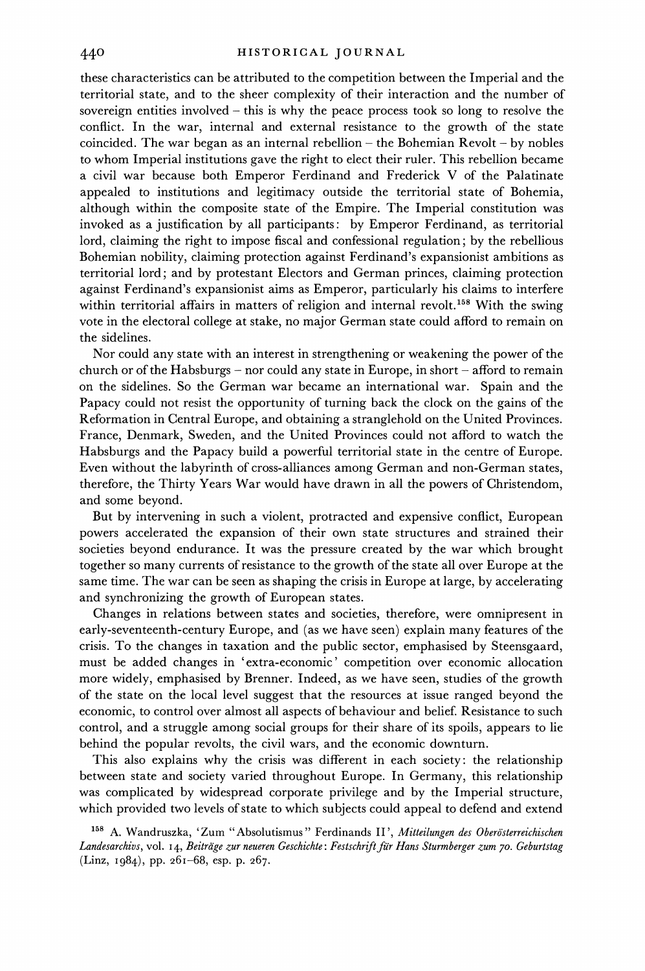these characteristics can be attributed to the competition between the Imperial and the territorial state, and to the sheer complexity of their interaction and the number of sovereign entities involved  $-$  this is why the peace process took so long to resolve the conflict. In the war, internal and external resistance to the growth of the state coincided. The war began as an internal rebellion  $-$  the Bohemian Revolt  $-$  by nobles to whom Imperial institutions gave the right to elect their ruler. This rebellion became a civil war because both Emperor Ferdinand and Frederick V of the Palatinate appealed to institutions and legitimacy outside the territorial state of Bohemia, although within the composite state of the Empire. The Imperial constitution was invoked as a justification by all participants: by Emperor Ferdinand, as territorial lord, claiming the right to impose fiscal and confessional regulation; by the rebellious Bohemian nobility, claiming protection against Ferdinand's expansionist ambitions as territorial lord; and by protestant Electors and German princes, claiming protection against Ferdinand's expansionist aims as Emperor, particularly his claims to interfere within territorial affairs in matters of religion and internal revolt.<sup>158</sup> With the swing vote in the electoral college at stake, no major German state could afford to remain on the sidelines.

Nor could any state with an interest in strengthening or weakening the power of the church or of the Habsburgs  $-$  nor could any state in Europe, in short  $-$  afford to remain on the sidelines. So the German war became an international war. Spain and the Papacy could not resist the opportunity of turning back the clock on the gains of the Reformation in Central Europe, and obtaining a stranglehold on the United Provinces. France, Denmark, Sweden, and the United Provinces could not afford to watch the Habsburgs and the Papacy build a powerful territorial state in the centre of Europe. Even without the labyrinth of cross-alliances among German and non-German states, therefore, the Thirty Years War would have drawn in all the powers of Christendom, and some beyond.

But by intervening in such a violent, protracted and expensive conflict, European powers accelerated the expansion of their own state structures and strained their societies beyond endurance. It was the pressure created by the war which brought together so many currents of resistance to the growth of the state all over Europe at the same time. The war can be seen as shaping the crisis in Europe at large, by accelerating and synchronizing the growth of European states.

Changes in relations between states and societies, therefore, were omnipresent in early-seventeenth-century Europe, and (as we have seen) explain many features of the crisis. To the changes in taxation and the public sector, emphasised by Steensgaard, must be added changes in 'extra-economic' competition over economic allocation more widely, emphasised by Brenner. Indeed, as we have seen, studies of the growth of the state on the local level suggest that the resources at issue ranged beyond the economic, to control over almost all aspects of behaviour and belief. Resistance to such control, and a struggle among social groups for their share of its spoils, appears to lie behind the popular revolts, the civil wars, and the economic downturn.

This also explains why the crisis was different in each society: the relationship between state and society varied throughout Europe. In Germany, this relationship was complicated by widespread corporate privilege and by the Imperial structure, which provided two levels of state to which subjects could appeal to defend and extend

158 A. Wandruszka, 'Zum "Absolutismus" Ferdinands II', *Mitteilungen des Oberösterreichischen* Landesarchivs, vol. 14, Beiträge zur neueren Geschichte: Festschrift für Hans Sturmberger zum 70. Geburtstag (Linz, 1984), pp. 261-68, esp. p. 267.